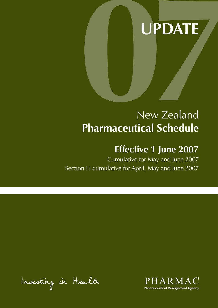# **UPDATE**

# New Zealand **Pharmaceutical Schedule**

## **Effective 1 June 2007**

Cumulative for May and June 2007 Section H cumulative for April, May and June 2007

Investing in Health

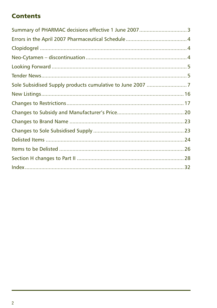### **Contents**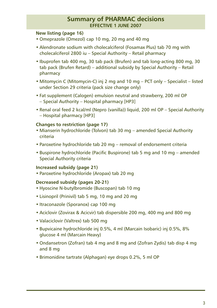### **Summary of PHARMAC decisions effective 1 JUNE 2007**

#### **New listing (page 16)**

- Omeprazole (Omezol) cap 10 mg, 20 mg and 40 mg
- Alendronate sodium with cholecalciferol (Fosamax Plus) tab 70 mg with cholecalciferol 2800 iu – Special Authority – Retail pharmacy
- Ibuprofen tab 400 mg, 30 tab pack (Brufen) and tab long-acting 800 mg, 30 tab pack (Brufen Retard) – additional subsidy by Special Authority – Retail pharmacy
- Mitomycin C (Mitomycin-C) inj 2 mg and 10 mg PCT only Specialist listed under Section 29 criteria (pack size change only)
- Fat supplement (Calogen) emulsion neutral and strawberry, 200 ml OP – Special Authority – Hospital pharmacy [HP3]
- Renal oral feed 2 kcal/ml (Nepro (vanilla)) liquid, 200 ml OP Special Authority – Hospital pharmacy [HP3]

#### **Changes to restriction (page 17)**

- Mianserin hydrochloride (Tolvon) tab 30 mg amended Special Authority criteria
- Paroxetine hydrochloride tab 20 mg removal of endorsement criteria
- Buspirone hydrochloride (Pacific Buspirone) tab 5 mg and 10 mg amended Special Authority criteria

#### **Increased subsidy (page 21)**

• Paroxetine hydrochloride (Aropax) tab 20 mg

#### **Decreased subsidy (pages 20-21)**

- Hyoscine N-butylbromide (Buscopan) tab 10 mg
- Lisinopril (Prinivil) tab 5 mg, 10 mg and 20 mg
- Itraconazole (Sporanox) cap 100 mg
- Aciclovir (Zovirax & Acicvir) tab dispersible 200 mg, 400 mg and 800 mg
- Valaciclovir (Valtrex) tab 500 mg
- Bupvicaine hydrochloride inj 0.5%, 4 ml (Marcain Isobaric) inj 0.5%, 8% glucose 4 ml (Marcain Heavy)
- Ondansetron (Zofran) tab 4 mg and 8 mg and (Zofran Zydis) tab disp 4 mg and 8 mg
- Brimonidine tartrate (Alphagan) eye drops 0.2%, 5 ml OP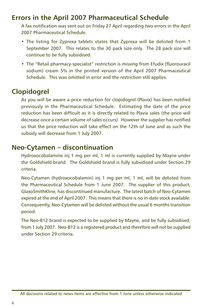### <span id="page-3-0"></span>**Errors in the April 2007 Pharmaceutical Schedule**

A fax notification was sent out on Friday 27 April regarding two errors in the April 2007 Pharmaceutical Schedule.

- The listing for Zyprexa tablets states that Zyprexa will be delisted from 1 September 2007. This relates to the 30 pack size only. The 28 pack size will continue to be fully subsidised.
- The "Retail pharmacy-specialist" restriction is missing from Efudix (fluorouracil sodium) cream 5% in the printed version of the April 2007 Pharmaceutical Schedule. This was omitted in error and the restriction still applies.

### **Clopidogrel**

As you will be aware a price reduction for clopidogrel (Plavix) has been notified previously in the Pharmaceutical Schedule. Estimating the date of the price reduction has been difficult as it is directly related to Plavix sales (the price will decrease once a certain volume of sales occurs). However the supplier has notified us that the price reduction will take effect on the 12th of June and as such the subsidy will decrease from 1 July 2007.

### **Neo-Cytamen – discontinuation**

Hydroxocobalamine inj 1 mg per ml, 1 ml is currently supplied by Mayne under the Goldshield brand. The Goldshield brand is fully subsidised under Section 29 criteria.

Neo-Cytamen (hydroxocobalamin) inj 1 mg per ml, 1 ml, will be delisted from the Pharmaceutical Schedule from 1 June 2007. The supplier of this product, GlaxoSmithKline, has discontinued manufacture. The latest batch of Neo-Cytamen expired at the end of April 2007. This means that there is no in-date stock available. Consequently, Neo-Cytamen will be delisted without the usual 6 months transition period.

The Neo-B12 brand is expected to be supplied by Mayne, and be fully subsidised, from 1 July 2007. Neo-B12 is a registered product and therefore will not be supplied under Section 29 criteria.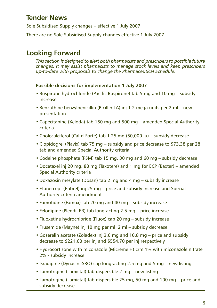### <span id="page-4-0"></span>**Tender News**

Sole Subsidised Supply changes – effective 1 July 2007

There are no Sole Subsidised Supply changes effective 1 July 2007.

### **Looking Forward**

*This section is designed to alert both pharmacists and prescribers to possible future changes. It may assist pharmacists to manage stock levels and keep prescribers up-to-date with proposals to change the Pharmaceutical Schedule.*

#### **Possible decisions for implementation 1 July 2007**

- Buspirone hydrochloride (Pacific Buspirone) tab 5 mg and 10 mg subsidy increase
- Benzathine benzylpenicillin (Bicillin LA) inj 1.2 mega units per 2 ml new presentation
- Capecitabine (Xeloda) tab 150 mg and 500 mg amended Special Authority criteria
- Cholecalciferol (Cal-d-Forte) tab 1.25 mg (50,000 iu) subsidy decrease
- Clopidogrel (Plavix) tab 75 mg subsidy and price decrease to \$73.38 per 28 tab and amended Special Authority criteria
- Codeine phosphate (PSM) tab 15 mg, 30 mg and 60 mg subsidy decrease
- Docetaxel inj 20 mg, 80 mg (Taxotere) and 1 mg for ECP (Baxter) amended Special Authority criteria
- Doxazosin mesylate (Dosan) tab 2 mg and 4 mg subsidy increase
- Etanercept (Enbrel) inj 25 mg price and subsidy increase and Special Authority criteria amendment
- Famotidine (Famox) tab 20 mg and 40 mg subsidy increase
- Felodipine (Plendil ER) tab long-acting 2.5 mg price increase
- Fluoxetine hydrochloride (Fluox) cap 20 mg subsidy increase
- Frusemide (Mayne) inj 10 mg per ml, 2 ml subsidy decrease
- Goserelin acetate (Zoladex) inj 3.6 mg and 10.8 mg price and subsidy decrease to \$221.60 per inj and \$554.70 per inj respectively
- Hydrocortisone with miconazole (Micreme H) crm 1% with miconazole nitrate 2% - subsidy increase
- Isradipine (Dynacirc-SRO) cap long-acting 2.5 mg and 5 mg new listing
- Lamotrigine (Lamictal) tab dispersible 2 mg new listing
- Lamotrigine (Lamictal) tab dispersible 25 mg, 50 mg and 100 mg price and subsidy decrease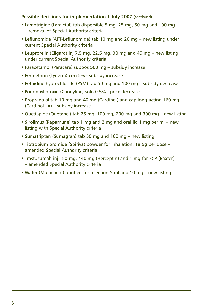#### **Possible decisions for implementation 1 July 2007 (continued)**

- Lamotrigine (Lamictal) tab dispersible 5 mg, 25 mg, 50 mg and 100 mg – removal of Special Authority criteria
- Leflunomide (AFT-Leflunomide) tab 10 mg and 20 mg new listing under current Special Authority criteria
- Leuprorelin (Eligard) inj 7.5 mg, 22.5 mg, 30 mg and 45 mg new listing under current Special Authority criteria
- Paracetamol (Paracare) suppos 500 mg subsidy increase
- Permethrin (Lyderm) crm 5% subsidy increase
- Pethidine hydrochloride (PSM) tab 50 mg and 100 mg subsidy decrease
- Podophyllotoxin (Condyline) soln 0.5% price decrease
- Propranolol tab 10 mg and 40 mg (Cardinol) and cap long-acting 160 mg (Cardinol LA) – subsidy increase
- Quetiapine (Quetapel) tab 25 mg, 100 mg, 200 mg and 300 mg new listing
- Sirolimus (Rapamune) tab 1 mg and 2 mg and oral liq 1 mg per ml new listing with Special Authority criteria
- Sumatriptan (Sumagran) tab 50 mg and 100 mg new listing
- Tiotropium bromide (Spiriva) powder for inhalation, 18  $\mu$ q per dose amended Special Authority criteria
- Trastuzumab inj 150 mg, 440 mg (Herceptin) and 1 mg for ECP (Baxter) – amended Special Authority criteria
- Water (Multichem) purified for injection 5 ml and 10 mg new listing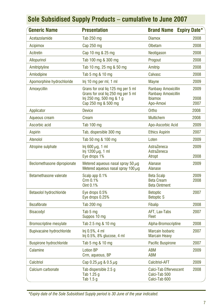<span id="page-6-0"></span>

| <b>Generic Name</b>              | <b>Presentation</b>                                                                                                         | <b>Brand Name</b>                                                         | <b>Expiry Date*</b>  |
|----------------------------------|-----------------------------------------------------------------------------------------------------------------------------|---------------------------------------------------------------------------|----------------------|
| Acetazolamide                    | Tab 250 mg                                                                                                                  | <b>Diamox</b>                                                             | 2008                 |
| <b>Acipimox</b>                  | Cap 250 mg                                                                                                                  | Olbetam                                                                   | 2008                 |
| Acitretin                        | Cap 10 mg & 25 mg                                                                                                           | Neotigason                                                                | 2008                 |
| Allopurinol                      | Tab 100 mg & 300 mg                                                                                                         | Progout                                                                   | 2008                 |
| Amitriptyline                    | Tab 10 mg, 25 mg & 50 mg                                                                                                    | Amitrip                                                                   | 2008                 |
| Amlodipine                       | Tab 5 mg & 10 mg                                                                                                            | Calvasc                                                                   | 2008                 |
| Apomorphine hydrochloride        | lnj 10 mg per ml, 1 ml                                                                                                      | <b>Mayne</b>                                                              | 2009                 |
| Amoxycillin                      | Grans for oral lig 125 mg per 5 ml<br>Grans for oral lig 250 mg per 5 ml<br>lnj 250 mg, 500 mg & 1 g<br>Cap 250 mg & 500 mg | Ranbaxy Amoxicillin<br>Ranbaxy Amoxicillin<br><b>Ibiamox</b><br>Apo-Amoxi | 2009<br>2008<br>2007 |
| Applicator                       | <b>Device</b>                                                                                                               | Ortho                                                                     | 2008                 |
| Aqueous cream                    | Cream                                                                                                                       | <b>Multichem</b>                                                          | 2008                 |
| Ascorbic acid                    | Tab 100 mg                                                                                                                  | Apo-Ascorbic Acid                                                         | 2009                 |
| <b>Aspirin</b>                   | Tab, dispersible 300 mg                                                                                                     | <b>Ethics Aspirin</b>                                                     | 2007                 |
| Atenolol                         | Tab 50 mg & 100 mg                                                                                                          | Loten                                                                     | 2009                 |
| Atropine sulphate                | Inj 600 $\mu$ g, 1 ml<br>$Inj$ 1200 $\mu$ g, 1 ml<br>Eye drops 1%                                                           | AstraZeneca<br>AstraZeneca<br>Atropt                                      | 2009<br>2008         |
| Beclomethasone dipropionate      | Metered aqueous nasal spray 50 $\mu$ g<br>Metered aqueous nasal spray 100 $\mu$ q                                           | Alanase<br><b>Alanase</b>                                                 | 2009                 |
| Betamethasone valerate           | Scalp app 0.1%<br>Crm 0.1%<br>Oint 0.1%                                                                                     | <b>Beta Scalp</b><br><b>Beta Cream</b><br><b>Beta Ointment</b>            | 2009<br>2008         |
| <b>Betaxolol hydrochloride</b>   | Eye drops 0.5%<br>Eye drops 0.25%                                                                                           | <b>Betoptic</b><br><b>Betoptic S</b>                                      | 2007                 |
| <b>Bezafibrate</b>               | Tab 200 mg                                                                                                                  | <b>Fibalip</b>                                                            | 2008                 |
| <b>Bisacodyl</b>                 | Tab 5 mg<br>Suppos 10 mg                                                                                                    | AFT, Lax-Tabs<br>Fleet                                                    | 2007                 |
| <b>Bromocriptine mesylate</b>    | Tab 2.5 mg & 10 mg                                                                                                          | Alpha-Bromocriptine                                                       | 2008                 |
| <b>Bupivacaine hydrochloride</b> | Inj 0.5%, 4 ml<br>$Inj$ 0.5%, 8% glucose, 4 ml                                                                              | <b>Marcain Isobaric</b><br><b>Marcain Heavy</b>                           | 2007                 |
| <b>Buspirone hydrochloride</b>   | Tab 5 mg & 10 mg                                                                                                            | <b>Pacific Buspirone</b>                                                  | 2007                 |
| Calamine                         | <b>Lotion BP</b><br>Crm, aqueous, BP                                                                                        | <b>ABM</b><br><b>ABM</b>                                                  | 2009                 |
| Calcitriol                       | Cap 0.25 $\mu$ g & 0.5 $\mu$ g                                                                                              | <b>Calcitriol-AFT</b>                                                     | 2009                 |
| Calcium carbonate                | Tab dispersible 2.5 g<br>Tab 1.25 g<br>Tab 1.5 q                                                                            | 2008<br>Calci-Tab Effervescent<br>Calci-Tab 500<br>Calci-Tab 600          |                      |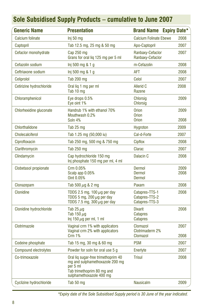| <b>Generic Name</b>            | <b>Presentation</b>                                                                                    | <b>Brand Name</b>                                  | <b>Expiry Date*</b> |
|--------------------------------|--------------------------------------------------------------------------------------------------------|----------------------------------------------------|---------------------|
| <b>Calcium folinate</b>        | Inj 50 mg                                                                                              | <b>Calcium Folinate Ebewe</b>                      | 2008                |
| Captopril                      | Tab 12.5 mg, 25 mg & 50 mg                                                                             | Apo-Captopril                                      | 2007                |
| Cefaclor monohydrate           | Cap 250 mg<br>Grans for oral lig 125 mg per 5 ml                                                       | Ranbaxy-Cefaclor<br>Ranbaxy-Cefaclor               | 2007                |
| Cefazolin sodium               | Inj 500 mg & 1 g                                                                                       | m-Cefazolin                                        | 2008                |
| Ceftriaxone sodium             | Inj 500 mg & 1 g                                                                                       | <b>AFT</b>                                         | 2008                |
| Celiprolol                     | Tab 200 mg                                                                                             | Celol                                              | 2007                |
| Cetirizine hydrochloride       | Oral lig 1 mg per ml<br>Tab 10 mg                                                                      | <b>Allerid C</b><br>Razene                         | 2008                |
| Chloramphenicol                | Eye drops 0.5%<br>Eve oint 1%                                                                          | <b>Chlorsig</b><br>Chlorsig                        | 2009                |
| Chlorhexidine gluconate        | Handrub 1% with ethanol 70%<br>Mouthwash 0.2%                                                          | <b>Orion</b><br><b>Orion</b>                       | 2009                |
|                                | Soln 4%                                                                                                | <b>Orion</b>                                       | 2008                |
| Chlorthalidone                 | Tab 25 mg                                                                                              | <b>Hygroton</b>                                    | 2009                |
| <b>Cholecalciferol</b>         | Tab 1.25 mg (50,000 iu)                                                                                | Cal-d-Forte                                        | 2007                |
| Ciprofloxacin                  | Tab 250 mg, 500 mg & 750 mg                                                                            | <b>Cipflox</b>                                     | 2008                |
| Clarithromycin                 | Tab 250 mg                                                                                             | Clarac                                             | 2007                |
| Clindamycin                    | Cap hydrochloride 150 mg<br>Inj phosphate 150 mg per ml, 4 ml                                          | Dalacin <sub>C</sub>                               | 2008                |
| Clobetasol propionate          | Crm 0.05%<br>Scalp app 0.05%<br>Oint 0.05%                                                             | Dermol<br>Dermol<br>Dermol                         | 2009<br>2008        |
| Clonazepam                     | Tab 500 $\mu$ g & 2 mg                                                                                 | Paxam                                              | 2008                |
| <b>Clonidine</b>               | TDDS 2.5 mg, 100 $\mu$ g per day<br>TDDS 5 mg, 200 $\mu$ g per day<br>TDDS 7.5 mg, 300 $\mu$ g per day | Catapres-TTS-1<br>Catapres-TTS-2<br>Catapres-TTS-3 | 2008                |
| <b>Clonidine hydrochloride</b> | Tab 25 $\mu$ q<br>Tab 150 $\mu$ g<br>Inj 150 $\mu$ g per ml, 1 ml                                      | <b>Dixarit</b><br><b>Catapres</b><br>Catapres      | 2008                |
| Clotrimazole                   | Vaginal crm 1% with applicators<br>Vaginal crm 2% with applicators<br>Crm 1%                           | Clomazol<br>Clotrimaderm 2%<br><b>Clomazol</b>     | 2007<br>2008        |
| Codeine phosphate              | Tab 15 mg, 30 mg & 60 mg                                                                               | <b>PSM</b>                                         | 2007                |
| <b>Compound electrolytes</b>   | Powder for soln for oral use 5 g                                                                       | Enerlyte                                           | 2007                |
| Co-trimoxazole                 | Oral lig sugar-free trimethoprim 40                                                                    | <b>Trisul</b>                                      | 2008                |
|                                | mg and sulphamethoxazole 200 mg<br>per 5 ml<br>Tab trimethoprim 80 mg and<br>sulphamethoxazole 400 mg  |                                                    |                     |
| Cyclizine hydrochloride        | Tab 50 mg                                                                                              | 2009<br><b>Nausicalm</b>                           |                     |

*\*Expiry date of the Sole Subsidised Supply period is 30 June of the year indicated.*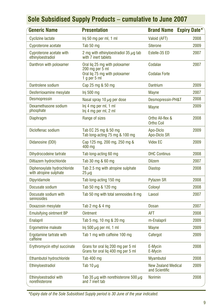| <b>Generic Name</b>                                   | <b>Presentation</b>                                                                               | <b>Brand Name</b>                            | <b>Expiry Date*</b> |
|-------------------------------------------------------|---------------------------------------------------------------------------------------------------|----------------------------------------------|---------------------|
| <b>Cyclizine lactate</b>                              | Inj 50 mg per ml, 1 ml                                                                            | Valoid (AFT)                                 | 2008                |
| Cyproterone acetate                                   | Tab 50 mg                                                                                         | <b>Siterone</b>                              | 2009                |
| Cyproterone acetate with<br>ethinyloestradiol         | 2 mg with ethinyloestradiol 35 $\mu$ g tab<br>with 7 inert tablets                                | Estelle-35 ED                                | 2007                |
| Danthron with poloxamer                               | Oral liq 25 mg with poloxamer<br>200 mg per 5 ml<br>Oral liq 75 mg with poloxamer<br>1 g per 5 ml | Codalax<br><b>Codalax Forte</b>              | 2007                |
| Dantrolene sodium                                     | Cap 25 mg & 50 mg                                                                                 | <b>Dantrium</b>                              | 2009                |
| Desferrioxamine mesylate                              | Inj 500 mg                                                                                        | <b>Mayne</b>                                 | 2007                |
| <b>Desmopressin</b>                                   | Nasal spray 10 $\mu$ g per dose                                                                   | Desmopressin-PH&T                            | 2008                |
| Dexamethasone sodium<br>phosphate                     | Inj 4 mg per ml, 1 ml<br>Inj 4 mg per ml, 2 ml                                                    | <b>Mayne</b>                                 | 2009                |
| <b>Diaphragm</b>                                      | Range of sizes                                                                                    | Ortho All-flex &<br><b>Ortho Coil</b>        | 2008                |
| Dicloflenac sodium                                    | Tab EC 25 mg & 50 mg<br>Tab long-acting 75 mg & 100 mg                                            | Apo-Diclo<br>Apo-Diclo SR                    | 2009                |
| Didanosine (DDI)                                      | Cap 125 mg, 200 mg, 250 mg &<br>400 mg                                                            | <b>Videx EC</b>                              | 2009                |
| Dihydrocodeine tartrate                               | Tab long-acting 60 mg                                                                             | <b>DHC Continus</b>                          | 2008                |
| Diltiazem hydrochloride                               | Tab 30 mg & 60 mg                                                                                 | <b>Dilzem</b>                                | 2007                |
| Diphenoxylate hydrochloride<br>with atropine sulphate | Tab 2.5 mg with atropine sulphate<br>$25 \,\mu g$                                                 | <b>Diastop</b>                               | 2008                |
| <b>Dipyridamole</b>                                   | Tab long-acting 150 mg                                                                            | <b>Pytazen SR</b>                            | 2008                |
| Docusate sodium                                       | Tab 50 mg & 120 mg                                                                                | Coloxyl                                      | 2008                |
| Docusate sodium with<br>sennosides                    | Tab 50 mg with total sennosides 8 mg                                                              | Laxsol                                       | 2007                |
| Doxazosin mesylate                                    | Tab 2 mg & 4 mg                                                                                   | <b>Dosan</b>                                 | 2007                |
| <b>Emulsifying ointment BP</b>                        | <b>Ointment</b>                                                                                   | <b>AFT</b>                                   | 2008                |
| <b>Enalapril</b>                                      | Tab 5 mg, 10 mg & 20 mg                                                                           | m-Enalapril                                  | 2009                |
| Ergometrine maleate                                   | Inj 500 $\mu$ g per ml, 1 ml                                                                      | <b>Mayne</b>                                 | 2009                |
| Ergotamine tartrate with<br>caffeine                  | Tab 1 mg with caffeine 100 mg                                                                     | Cafergot                                     | 2009                |
| Erythromycin ethyl succinate                          | Grans for oral lig 200 mg per 5 ml<br>Grans for oral lig 400 mg per 5 ml                          | E-Mycin<br>E-Mycin                           | 2008                |
| Ethambutol hydrochloride                              | Tab 400 mg                                                                                        | <b>Myambutol</b>                             | 2008                |
| Ethinyloestradiol                                     | Tab 10 $\mu$ g                                                                                    | <b>New Zealand Medical</b><br>and Scientific | 2009                |
| <b>Ethinyloestradiol with</b><br>norethisterone       | Tab 35 $\mu$ g with norethisterone 500 $\mu$ g<br>and 7 inert tab                                 | <b>Norimin</b>                               | 2008                |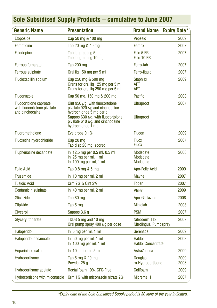| <b>Generic Name</b>                                                      | <b>Presentation</b>                                                                                                                                                                                               | <b>Brand Name</b>                           | <b>Expiry Date*</b> |  |
|--------------------------------------------------------------------------|-------------------------------------------------------------------------------------------------------------------------------------------------------------------------------------------------------------------|---------------------------------------------|---------------------|--|
| <b>Etoposide</b>                                                         | Cap 50 mg & 100 mg                                                                                                                                                                                                | <b>Vepesid</b>                              | 2009                |  |
| Famotidine                                                               | Tab 20 mg & 40 mg                                                                                                                                                                                                 | Famox                                       | 2007                |  |
| Felodopine                                                               | Tab long-acting 5 mg<br>Tab long-acting 10 mg                                                                                                                                                                     | Felo 5 ER<br>Felo 10 ER                     | 2007                |  |
| <b>Ferrous fumarate</b>                                                  | <b>Tab 200 mg</b>                                                                                                                                                                                                 | Ferro-tab                                   | 2007                |  |
| <b>Ferrous sulphate</b>                                                  | Oral lig 150 mg per 5 ml                                                                                                                                                                                          | Ferro-liquid                                | 2007                |  |
| <b>Flucloxacillin sodium</b>                                             | Cap 250 mg & 500 mg<br>Grans for oral liq 125 mg per 5 ml<br>Grans for oral liq 250 mg per 5 ml                                                                                                                   | <b>Staphlex</b><br><b>AFT</b><br><b>AFT</b> | 2009                |  |
| <b>Fluconazole</b>                                                       | Cap 50 mg, 150 mg & 200 mg                                                                                                                                                                                        | Pacific                                     | 2008                |  |
| Fluocortolone caproate<br>with fluocortolone pivalate<br>and cinchocaine | Oint 950 $\mu$ g, with fluocortolone<br>pivalate 920 $\mu$ g and cinchocaine<br>hydrochloride 5 mg per g<br>Suppos 630 $\mu$ g, with fluocortolone<br>pivalate 610 $\mu$ g, and cinchocaine<br>hydrochloride 1 mg | <b>Ultraproct</b><br><b>Ultraproct</b>      | 2007                |  |
| Fluorometholone                                                          | Eye drops 0.1%                                                                                                                                                                                                    | <b>Flucon</b>                               | 2009                |  |
| <b>Fluoxetine hydrochloride</b>                                          | Cap 20 mg<br>Tab disp 20 mg, scored                                                                                                                                                                               | <b>Fluox</b><br><b>Fluox</b>                | 2007                |  |
| Fluphenazine decanoate                                                   | Inj 12.5 mg per 0.5 ml, 0.5 ml<br>Inj 25 mg per ml, 1 ml<br>Inj 100 mg per ml, 1 ml                                                                                                                               | Modecate<br>Modecate<br>Modecate            | 2008                |  |
| <b>Folic Acid</b>                                                        | Tab 0.8 mg & 5 mg                                                                                                                                                                                                 | Apo-Folic Acid                              | 2009                |  |
| Frusemide                                                                | Inj 10 mg per ml, 2 ml                                                                                                                                                                                            | <b>Mayne</b>                                | 2007                |  |
| <b>Fusidic Acid</b>                                                      | Crm 2% & Oint 2%                                                                                                                                                                                                  | Foban                                       | 2007                |  |
| Gentamicin sulphate                                                      | Inj 40 mg per ml, 2 ml                                                                                                                                                                                            | Pfizer                                      | 2009                |  |
| Gliclazide                                                               | Tab 80 mg                                                                                                                                                                                                         | Apo-Gliclazide                              | 2008                |  |
| Glipizide                                                                | Tab 5 mg                                                                                                                                                                                                          | <b>Minidiab</b>                             | 2008                |  |
| Glycerol                                                                 | Suppos 3.6 g                                                                                                                                                                                                      | <b>PSM</b>                                  | 2007                |  |
| Glyceryl trinitrate                                                      | TDDS 5 mg and 10 mg<br>Oral pump spray 400 $\mu$ g per dose                                                                                                                                                       | Nitroderm TTS<br>Nitrolingual Pumpspray     | 2007                |  |
| Haloperidol                                                              | Inj 5 mg per ml, 1 ml                                                                                                                                                                                             | <b>Serenace</b>                             | 2009                |  |
| Haloperidol decanoate                                                    | Inj 50 mg per ml, 1 ml<br>Inj 100 mg per ml, 1 ml                                                                                                                                                                 | Haldol<br><b>Haldol Concentrate</b>         | 2008                |  |
| <b>Heparinised saline</b>                                                | Inj 10 iu per ml, 5 ml                                                                                                                                                                                            | AstraZeneca                                 | 2009                |  |
| Hydrocortisone                                                           | Tab 5 mg & 20 mg<br>Powder 25 g                                                                                                                                                                                   | <b>Douglas</b><br>m-Hydrocortisone          | 2009<br>2008        |  |
| <b>Hydrocortisone acetate</b>                                            | Rectal foam 10%, CFC-Free                                                                                                                                                                                         | Colifoam                                    | 2009                |  |
| Hydrocortisone with miconazole                                           | Crm 1% with miconazole nitrate 2%                                                                                                                                                                                 | Micreme H                                   | 2007                |  |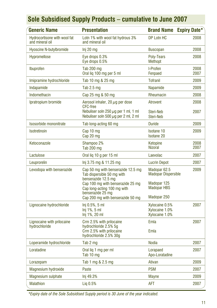| <b>Generic Name</b>                             | <b>Presentation</b>                                                                                  | <b>Brand Name</b>                                  | <b>Expiry Date*</b> |
|-------------------------------------------------|------------------------------------------------------------------------------------------------------|----------------------------------------------------|---------------------|
| Hydrocortisone with wool fat<br>and mineral oil | Lotn 1% with wool fat hydrous 3%<br>and mineral oil                                                  | DP Lotn HC                                         | 2008                |
| <b>Hyoscine N-butylbromide</b>                  | Inj 20 mg                                                                                            | <b>Buscopan</b>                                    | 2008                |
| Hypromellose                                    | Eye drops 0.3%<br>Eye drops 0.5%                                                                     | Polv-Tears<br><b>Methopt</b>                       | 2008                |
| Ibuprofen                                       | <b>Tab 200 mg</b><br>Oral lig 100 mg per 5 ml                                                        | I-Profen<br>Fenpaed                                | 2008<br>2007        |
| Imipramine hydrochloride                        | Tab 10 mg & 25 mg                                                                                    | <b>Tofranil</b>                                    | 2009                |
| Indapamide                                      | Tab 2.5 mg                                                                                           | Napamide                                           | 2009                |
| Indomethacin                                    | Cap 25 mg & 50 mg                                                                                    | Rheumacin                                          | 2008                |
| Ipratropium bromide                             | Aerosol inhaler, 20 $\mu$ q per dose<br><b>CFC-free</b><br>Nebuliser soln 250 $\mu$ g per 1 ml, 1 ml | <b>Atrovent</b><br>Steri-Neb                       | 2008<br>2007        |
|                                                 | Nebuliser soln 500 $\mu$ q per 2 ml, 2 ml                                                            | Steri-Neb                                          |                     |
| Isosorbide mononitrate                          | Tab long-acting 60 mg                                                                                | <b>Duride</b>                                      | 2009                |
| Isotretinoin                                    | Cap 10 mg<br>Cap 20 mg                                                                               | <b>Isotane 10</b><br><b>Isotane 20</b>             | 2009                |
| Ketoconazole                                    | Shampoo 2%<br>Tab 200 mg                                                                             | Ketopine<br><b>Nizoral</b>                         | 2008<br>2007        |
| Lactulose                                       | Oral liq 10 g per 15 ml                                                                              | Laevolac                                           | 2007                |
| Leuprorelin                                     | Inj 3.75 mg & 11.25 mg                                                                               | <b>Lucrin Depot</b>                                | 2007                |
| Levodopa with benserazide                       | Cap 50 mg with benserazide 12.5 mg<br>Tab dispersible 50 mg with<br>benserazide 12.5 mg              | Madopar 62.5<br><b>Madopar Dispersible</b>         | 2009                |
|                                                 | Cap 100 mg with benserazide 25 mg<br>Cap long-acting 100 mg with<br>benserazide 25 mg                | Madopar 125<br><b>Madopar HBS</b>                  |                     |
|                                                 | Cap 200 mg with benserazide 50 mg                                                                    | Madopar 250                                        |                     |
| Lignocaine hydrochloride                        | $Inj 0.5%$ , 5 ml<br>Inj 1%, 5 ml<br>Inj 1%, 20 ml                                                   | Xylocaine 0.5%<br>Xylocaine 1.0%<br>Xylocaine 1.0% | 2007                |
| Lignocaine with prilocaine                      | Crm 2.5% with prilocaine                                                                             | Emla                                               | 2007                |
| hydrochloride                                   | hydrochloride 2.5% 5q<br>Crm 2.5% with prilocaine<br>hydrochloride 2.5% 30g                          | Emla                                               |                     |
| Loperamide hydrochloride                        | Tab 2 mg                                                                                             | <b>Nodia</b>                                       | 2007                |
| Loratadine                                      | Oral lig 1 mg per ml<br>Tab 10 mg                                                                    | Lorapaed<br>Apo-Loratadine                         | 2007                |
| Lorazepam                                       | Tab 1 mg & 2.5 mg                                                                                    | Ativan                                             | 2009                |
| Magnesium hydroxide                             | Paste                                                                                                | <b>PSM</b>                                         | 2007                |
| <b>Magnesium sulphate</b>                       | Inj 49.3%                                                                                            | <b>Mayne</b>                                       | 2009                |
| <b>Malathion</b>                                | Lig 0.5%                                                                                             | AFT                                                | 2007                |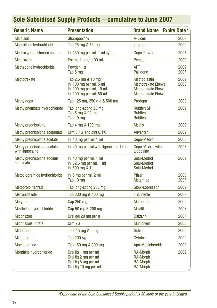| <b>Generic Name</b>                           | <b>Presentation</b>                                                                                   | <b>Brand Name</b>                                                                                          | <b>Expiry Date*</b> |
|-----------------------------------------------|-------------------------------------------------------------------------------------------------------|------------------------------------------------------------------------------------------------------------|---------------------|
| <b>Maldison</b>                               | Shampoo 1%                                                                                            | A-Lices                                                                                                    | 2007                |
| Maprotiline hydrochloride                     | Tab 25 mg & 75 mg                                                                                     | Ludiomil                                                                                                   | 2009                |
| Medroxyprogesterone acetate                   | Inj 150 mg per ml, 1 ml syringe                                                                       | Depo-Provera                                                                                               | 2007                |
| <b>Mesalazine</b>                             | Enema 1 g per 100 ml                                                                                  | Pentasa                                                                                                    | 2009                |
| Methadone hydrochloride                       | Powder 1 g<br>Tab 5 mg                                                                                | <b>AFT</b><br><b>Pallidone</b>                                                                             | 2009<br>2007        |
| Methotrexate                                  | Tab 2.5 mg & 10 mg<br>Inj 100 mg per ml, 5 ml<br>Inj 100 mg per ml, 10 ml<br>Inj 100 mg per ml, 50 ml | <b>Methoblastin</b><br><b>Methotrexate Ebewe</b><br><b>Methotrexate Ebewe</b><br><b>Methotrexate Ebewe</b> | 2009<br>2008        |
| Methyldopa                                    | Tab 125 mg, 250 mg & 500 mg                                                                           | Prodopa                                                                                                    | 2008                |
| Methylphenidate hydrochloride                 | Tab long-acting 20 mg<br>Tab 5 mg & 20 mg<br>Tab 10 mg                                                | <b>Rubifen SR</b><br><b>Rubifen</b><br><b>Rubifen</b>                                                      | 2009                |
| Methylprednisolone                            | Tab 4 mg & 100 mg                                                                                     | <b>Medrol</b>                                                                                              | 2009                |
| Methylprednisolone aceponate                  | Crm 0.1% and oint 0.1%                                                                                | Advantan                                                                                                   | 2009                |
| Methylprednisolone acetate                    | Inj 40 mg per ml, 1 ml                                                                                | Depo-Medrol                                                                                                | 2008                |
| Methylprednisolone acetate<br>with lignocaine | Inj 40 mg per ml with lignocaine 1 ml                                                                 | Depo-Medrol with<br>Lidocaine                                                                              | 2008                |
| Methylprednisolone sodium<br>succinate        | Inj 40 mg per ml, 1 ml<br>Inj 62.5 mg per ml, 1 ml<br>Inj 500 mg & 1 g                                | Solu-Medrol<br>Solu-Medrol<br>Solu-Medrol                                                                  | 2009                |
| Metoclopramide hydrochloride                  | Inj 5 mg per ml, 2 ml<br>Tab 10 mg                                                                    | Pfizer<br>Metamide                                                                                         | 2008<br>2007        |
| Metoprolol tartrate                           | Tab long-acting 200 mg                                                                                | Slow-Lopressor                                                                                             | 2009                |
| Metronidazole                                 | Tab 200 mg & 400 mg                                                                                   | <b>Trichozole</b>                                                                                          | 2007                |
| <b>Metyrapone</b>                             | Cap 250 mg                                                                                            | Metopirone                                                                                                 | 2009                |
| Mexiletine hydrochloride                      | Cap 50 mg & 200 mg                                                                                    | <b>Mexitil</b>                                                                                             | 2008                |
| Miconazole                                    | Oral gel 20 mg per g                                                                                  | <b>Daktarin</b>                                                                                            | 2007                |
| Miconazole nitrate                            | <b>Crm 2%</b>                                                                                         | <b>Multichem</b>                                                                                           | 2008                |
| <b>Midodrine</b>                              | Tab 2.5 mg & 5 mg                                                                                     | Gutron                                                                                                     | 2009                |
| <b>Misoprostol</b>                            | Tab 200 $\mu$ g                                                                                       | 2009<br>Cytotec                                                                                            |                     |
| Moclobemide                                   | Tab 150 mg & 300 mg                                                                                   | Apo-Moclobemide                                                                                            | 2009                |
| Morphine hydrochloride                        | Oral lig 1 mg per ml<br>Oral liq 2 mg per ml<br>Oral liq 5 mg per ml<br>Oral liq 10 mg per ml         | <b>RA-Morph</b><br><b>RA-Morph</b><br><b>RA-Morph</b><br><b>RA-Morph</b>                                   | 2009                |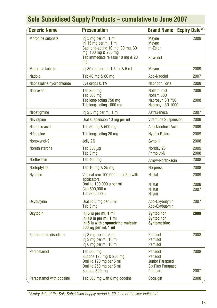| <b>Generic Name</b>       | <b>Presentation</b>                                                                                                                            | <b>Brand Name</b>                                                                            | <b>Expiry Date*</b>  |
|---------------------------|------------------------------------------------------------------------------------------------------------------------------------------------|----------------------------------------------------------------------------------------------|----------------------|
| Morphine sulphate         | Inj 5 mg per ml, 1 ml<br>Inj 15 mg per ml, 1 ml<br>Cap long-acting 10 mg, 30 mg, 60<br>mg, 100 mg & 200 mg<br>Tab immediate release 10 mg & 20 | <b>Mayne</b><br><b>Mayne</b><br>m-Eslon<br>Sevredol                                          | 2009                 |
|                           | mq                                                                                                                                             |                                                                                              |                      |
| Morphine tartrate         | Inj 80 mg per ml, 1.5 ml & 5 ml                                                                                                                | <b>Mayne</b>                                                                                 | 2009                 |
| Nadolol                   | Tab 40 mg & 80 mg                                                                                                                              | Apo-Nadolol                                                                                  | 2007                 |
| Naphazoline hydrochloride | Eye drops 0.1%                                                                                                                                 | <b>Naphcon Forte</b>                                                                         | 2008                 |
| Naproxen                  | Tab 250 mg<br>Tab 500 mg<br>Tab long-acting 750 mg<br>Tab long-acting 1000 mg                                                                  | Noflam 250<br>Noflam 500<br>Naprosyn SR 750<br>Naprosyn SR 1000                              | 2009<br>2008         |
| Neostigmine               | Inj 2.5 mg per ml, 1 ml                                                                                                                        | AstraZeneca                                                                                  | 2007                 |
| <b>Nevirapine</b>         | Oral suspension 10 mg per ml                                                                                                                   | <b>Viramune Suspension</b>                                                                   | 2009                 |
| Nicotinic acid            | Tab 50 mg & 500 mg                                                                                                                             | <b>Apo-Nicotinic Acid</b>                                                                    | 2009                 |
| Nifedipine                | Tab long-acting 20 mg                                                                                                                          | <b>Nyefax Retard</b>                                                                         | 2009                 |
| Nonoxynol-9               | Jelly 2%                                                                                                                                       | Gynol II                                                                                     | 2008                 |
| Norethisterone            | Tab $350 \mu q$<br>Tab 5 mg                                                                                                                    | Noriday 28<br><b>Primolut-N</b>                                                              | 2009<br>2008         |
| Norfloxacin               | Tab 400 mg                                                                                                                                     | Arrow-Norfloxacin                                                                            | 2008                 |
| Nortriptyline             | Tab 10 mg & 25 mg                                                                                                                              | <b>Norpress</b>                                                                              | 2008                 |
| <b>Nystatin</b>           | Vaginal crm 100,000 u per 5 g with<br>applicators<br>Oral lig 100,000 u per ml<br>Cap 500,000 u                                                | <b>Nilstat</b><br><b>Nilstat</b><br><b>Nilstat</b>                                           | 2009<br>2008<br>2007 |
|                           | Tab 500,000 u                                                                                                                                  | <b>Nilstat</b>                                                                               |                      |
| Oxybutynin                | Oral lig 5 mg per 5 ml<br>Tab 5 mg                                                                                                             | Apo-Oxybutynin<br>Apo-Oxybutynin                                                             | 2007                 |
| Oxytocin                  | Inj 5 iu per ml, 1 ml<br>Inj 10 iu per ml, 1 ml<br>Ini 5 iu with ergometrine maleate<br>500 $\mu$ g per ml, 1 ml                               | <b>Syntocinon</b><br><b>Syntocinon</b><br><b>Syntometrine</b>                                | 2009                 |
| Pamidronate disodium      | Inj 3 mg per ml, 5 ml<br>Inj 3 mg per ml, 10 ml<br>Inj 6 mg per ml, 10 ml                                                                      | Pamisol<br>Pamisol<br>Pamisol                                                                | 2008                 |
| Paracetamol               | Tab 500 mg<br>Suppos 125 mg & 250 mg<br>Oral liq 120 mg per 5 ml<br>Oral lig 250 mg per 5 ml<br>Suppos 500 mg                                  | Panadol<br>2008<br>Panadol<br><b>Junior Parapaed</b><br><b>Six Plus Parapaed</b><br>Paracare |                      |
| Paracetamol with codeine  | Tab 500 mg with 8 mg codeine                                                                                                                   | Codalgin                                                                                     | 2007<br>2008         |
|                           |                                                                                                                                                |                                                                                              |                      |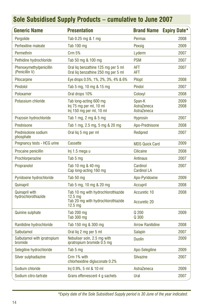| <b>Generic Name</b>                          | <b>Presentation</b>                                                                                                | <b>Brand Name</b>                    | <b>Expiry Date*</b> |
|----------------------------------------------|--------------------------------------------------------------------------------------------------------------------|--------------------------------------|---------------------|
| Pergolide                                    | Tab 0.25 mg & 1 mg                                                                                                 | Permax                               | 2008                |
| Perhexiline maleate                          | Tab 100 mg                                                                                                         | Pexsig                               | 2009                |
| Permethrin                                   | <b>Crm 5%</b>                                                                                                      | Lyderm                               | 2007                |
| Pethidine hydrochloride                      | Tab 50 mg & 100 mg                                                                                                 | <b>PSM</b>                           | 2007                |
| Phenoxymethylpenicillin<br>(Penicillin V)    | Oral lig benzathine 125 mg per 5 ml<br>Oral lig benzathine 250 mg per 5 ml                                         | AFT<br><b>AFT</b>                    | 2007                |
| Pilocarpine                                  | Eye drops 0.5%, 1%, 2%, 3%, 4% & 6%                                                                                | Pilopt                               | 2008                |
| Pindolol                                     | Tab 5 mg, 10 mg & 15 mg                                                                                            | Pindol                               | 2007                |
| Poloxamer                                    | Oral drops 10%                                                                                                     | Coloxyl                              | 2008                |
| Potassium chloride                           | Tab long-acting 600 mg<br>Inj 75 mg per ml, 10 ml<br>Inj 150 mg per ml, 10 ml                                      | Span-K<br>AstraZeneca<br>AstraZeneca | 2009<br>2008        |
| Prazosin hydrochloride                       | Tab 1 mg, 2 mg & 5 mg                                                                                              | <b>Hyprosin</b>                      | 2007                |
| Prednisone                                   | Tab 1 mg, 2.5 mg, 5 mg & 20 mg                                                                                     | Apo-Prednisone                       | 2008                |
| Prednisolone sodium<br>phosphate             | Oral lig 5 mg per ml                                                                                               | Redipred                             | 2007                |
| Pregnancy tests - HCG urine                  | <b>Cassette</b>                                                                                                    | <b>MDS Quick Card</b>                | 2009                |
| Procaine penicillin                          | Inj 1.5 mega u                                                                                                     | <b>Cilicaine</b>                     | 2008                |
| Prochlorperazine                             | Tab 5 mg                                                                                                           | <b>Antinaus</b>                      | 2007                |
| Propranolol                                  | Tab 10 mg & 40 mg<br>Cap long-acting 160 mg                                                                        | Cardinol<br><b>Cardinol LA</b>       | 2007                |
| Pyridoxine hydrochloride                     | Tab 50 mg                                                                                                          | Apo-Pyridoxine                       | 2009                |
| Quinapril                                    | Tab 5 mg, 10 mg & 20 mg                                                                                            | Accupril                             | 2008                |
| <b>Quinapril with</b><br>hydrochlorothiazide | Tab 10 mg with hydrochlorothiazide<br>$12.5 \text{ ma}$<br>Tab 20 mg with hydrochlorothiazide<br>$12.5 \text{ ma}$ | Accuretic 10<br><b>Accuretic 20</b>  | 2008                |
| <b>Quinine sulphate</b>                      | Tab 200 mg<br>Tab 300 mg                                                                                           | Q 200<br>Q 300                       | 2009                |
| Ranitidine hydrochloride                     | Tab 150 mg & 300 mg                                                                                                | <b>Arrow Ranitidine</b>              | 2008                |
| Salbutamol                                   | Oral lig 2 mg per 5 ml                                                                                             | <b>Salapin</b>                       | 2007                |
| Salbutamol with ipratropium<br>bromide       | Nebuliser soln, 2.5 mg with<br>ipratropium bromide 0.5 mg                                                          | <b>Duolin</b>                        | 2009                |
| Selegiline hydrochloride                     | Tab 5 mg                                                                                                           | Apo-Selegiline                       | 2009                |
| Silver sulphadiazine                         | Crm 1% with<br>chlorhexidine digluconate 0.2%                                                                      | <b>Silvazine</b>                     | 2007                |
| Sodium chloride                              | $Inj$ 0.9%, 5 ml & 10 ml                                                                                           | AstraZeneca                          | 2009                |
| Sodium citro-tartrate                        | Grans effervescent 4 g sachets                                                                                     | Ural                                 | 2007                |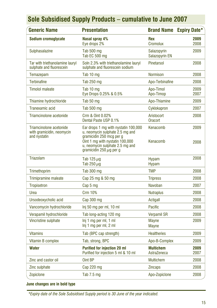| <b>Generic Name</b>                                                  | <b>Presentation</b>                                                                                                                                                                                       | <b>Brand Name</b>               | <b>Expiry Date*</b> |  |
|----------------------------------------------------------------------|-----------------------------------------------------------------------------------------------------------------------------------------------------------------------------------------------------------|---------------------------------|---------------------|--|
| Sodium cromoglycate                                                  | Nasal spray 4%<br>Eye drops 2%                                                                                                                                                                            | <b>Rex</b><br>Cromolux          | 2009<br>2008        |  |
| Sulphasalazine                                                       | Tab 500 mg<br>Tab EC 500 mg                                                                                                                                                                               | Salazopyrin<br>Salazopyrin EN   | 2009                |  |
| Tar with triethanolamine lauryl<br>sulphate and fluorescein          | Soln 2.3% with triethanolamine lauryl<br>sulphate and fluorescein sodium                                                                                                                                  | <b>Pinetarsol</b>               | 2008                |  |
| Temazepam                                                            | Tab 10 mg                                                                                                                                                                                                 | <b>Normison</b>                 | 2008                |  |
| <b>Terbinafine</b>                                                   | Tab 250 mg                                                                                                                                                                                                | Apo-Terbinafine                 | 2008                |  |
| <b>Timolol maleate</b>                                               | Tab 10 mg<br>Eye Drops 0.25% & 0.5%                                                                                                                                                                       | Apo-Timol<br>Apo-Timop          | 2009<br>2007        |  |
| Thiamine hydrochloride                                               | Tab 50 mg                                                                                                                                                                                                 | Apo-Thiamine                    | 2009                |  |
| Tranexamic acid                                                      | Tab 500 mg                                                                                                                                                                                                | Cyklokapron                     | 2007                |  |
| Triamcinolone acetonide                                              | Crm & Oint 0.02%<br>Dental Paste USP 0.1%                                                                                                                                                                 | Aristocort<br>Oracort           | 2008                |  |
| Triamcinolone acetonide<br>with gramicidin, neomycin<br>and nystatin | Ear drops 1 mg with nystatin 100,000<br>u, neomycin sulphate 2.5 mg and<br>gramicidin 250 mcg per g<br>Oint 1 mg with nystatin 100,000<br>u, neomycin sulphate 2.5 mg and<br>gramicidin 250 $\mu$ g per g | Kenacomb<br>Kenacomb            | 2009<br>2008        |  |
| Triazolam                                                            | Tab 125 $\mu$ g<br>Tab 250 $\mu$ g                                                                                                                                                                        | Hypam<br><b>Hypam</b>           | 2008                |  |
| Trimethoprim                                                         | Tab 300 mg                                                                                                                                                                                                | <b>TMP</b>                      | 2008                |  |
| <b>Trimipramine maleate</b>                                          | Cap 25 mg & 50 mg                                                                                                                                                                                         | <b>Tripress</b>                 | 2008                |  |
| <b>Tropisetron</b>                                                   | Cap 5 mg                                                                                                                                                                                                  | Navoban                         | 2007                |  |
| Urea                                                                 | <b>Crm 10%</b>                                                                                                                                                                                            | <b>Nutraplus</b>                | 2008                |  |
| Ursodeoxycholic acid                                                 | Cap 300 mg                                                                                                                                                                                                | Actigall                        | 2008                |  |
| Vancomycin hydrochloride                                             | Inj 50 mg per ml, 10 ml                                                                                                                                                                                   | Pacific                         | 2008                |  |
| Verapamil hydrochloride                                              | Tab long-acting 120 mg                                                                                                                                                                                    | <b>Verpamil SR</b>              | 2008                |  |
| Vincristine sulphate                                                 | Inj 1 mg per ml, 1 ml<br>Inj 1 mg per ml, 2 ml                                                                                                                                                            | <b>Mayne</b><br><b>Mayne</b>    | 2009                |  |
| <b>Vitamins</b>                                                      | Tab (BPC cap strength)                                                                                                                                                                                    | <b>Healtheries</b>              | 2009                |  |
| Vitamin B complex                                                    | Tab, strong, BPC                                                                                                                                                                                          | Apo-B-Complex                   | 2009                |  |
| Water                                                                | <b>Purified for injection 20 ml</b><br>Purified for injection 5 ml & 10 ml                                                                                                                                | <b>Multichem</b><br>AstraZeneca | 2009<br>2007        |  |
| Zinc and castor oil                                                  | Oint BP                                                                                                                                                                                                   | <b>Multichem</b>                | 2008                |  |
| Zinc sulphate                                                        | Cap 220 mg                                                                                                                                                                                                | <b>Zincaps</b>                  | 2008                |  |
| Zopiclone                                                            | Tab 7.5 mg                                                                                                                                                                                                | Apo-Zopiclone                   | 2008                |  |

### **June changes are in bold type**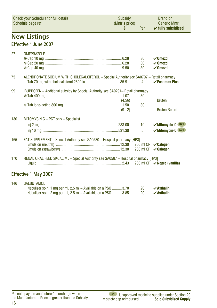<span id="page-15-0"></span>

|     | <b>Check your Schedule for full details</b><br>Schedule page ref                         | Subsidy<br>(Mnfr's price)<br>S | Per             | <b>Brand or</b><br><b>Generic Mnfr</b><br>$\checkmark$ fully subsidised |
|-----|------------------------------------------------------------------------------------------|--------------------------------|-----------------|-------------------------------------------------------------------------|
|     | <b>New Listings</b>                                                                      |                                |                 |                                                                         |
|     | Effective 1 June 2007                                                                    |                                |                 |                                                                         |
| 27  | OMFPRAZOLE                                                                               |                                |                 |                                                                         |
|     |                                                                                          |                                | 30              | $\boldsymbol{\nu}$ Omezol                                               |
|     |                                                                                          |                                | 30              | $\boldsymbol{\nu}$ Omezol                                               |
|     |                                                                                          |                                | 30              | $\boldsymbol{\nu}$ Omezol                                               |
|     |                                                                                          |                                |                 |                                                                         |
| 75  | ALENDRONATE SODIUM WITH CHOLECALCIFEROL - Special Authority see SA0797 - Retail pharmacy |                                | 4               | $\checkmark$ Fosamax Plus                                               |
|     |                                                                                          |                                |                 |                                                                         |
| 99  | <b>IBUPROFEN</b> – Additional subsidy by Special Authority see SA0291– Retail pharmacy   |                                |                 |                                                                         |
|     |                                                                                          |                                | 30              |                                                                         |
|     |                                                                                          | (4.56)                         |                 | <b>Brufen</b>                                                           |
|     |                                                                                          |                                | 30              |                                                                         |
|     |                                                                                          | (9.12)                         |                 | <b>Brufen Retard</b>                                                    |
| 130 | MITOMYCIN C - PCT only - Specialist                                                      |                                |                 |                                                                         |
|     |                                                                                          |                                | 10 <sup>1</sup> | <b>S29</b><br>$\vee$ Mitomycin-C                                        |
|     |                                                                                          |                                |                 |                                                                         |
|     |                                                                                          |                                | 5               | $\checkmark$ Mitomycin-C<br><b>S29</b>                                  |
| 165 | FAT SUPPLEMENT - Special Authority see SA0580 - Hospital pharmacy [HP3]                  |                                |                 |                                                                         |
|     |                                                                                          |                                |                 | 200 ml OP $\sqrt{C}$ alogen                                             |
|     |                                                                                          |                                |                 | 200 ml OP <b>∠ Calogen</b>                                              |
|     |                                                                                          |                                |                 |                                                                         |
| 170 | RENAL ORAL FEED 2KCAL/ML - Special Authority see SA0587 - Hospital pharmacy [HP3]        |                                |                 |                                                                         |
|     |                                                                                          |                                |                 |                                                                         |
|     |                                                                                          |                                |                 |                                                                         |
|     | <b>Effective 1 May 2007</b>                                                              |                                |                 |                                                                         |

#### 146 SALBUTAMOL Nebuliser soln, 1 mg per ml, 2.5 ml – Available on a PSO .......... 3.70 20 **⁄Asthalin**<br>Nebuliser soln, 2 mg per ml, 2.5 ml – Available on a PSO .......... 3.85 20 **⁄Asthalin** Nebuliser soln, 2 mg per ml, 2.5 ml – Available on a PSO ..........3.85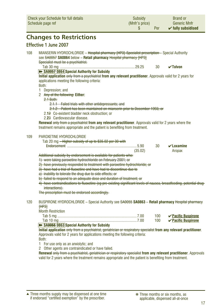<span id="page-16-0"></span>

| <b>Changes to Restrictions</b><br>Effective 1 June 2007<br>108<br>MIANSERIN HYDROCHLORIDE - Hospital pharmacy [HP3]-Specialist prescription - Special Authority<br>see SA0057 SA0864 below - Retail pharmacy Hospital pharmacy [HP3]<br>Specialist must be a psychiatrist.<br>30<br>$\sqrt{}$ Tolvon<br>>> SA0057 0864 Special Authority for Subsidy<br>Initial application only from a psychiatrist from any relevant practitioner. Approvals valid for 2 years for<br>applications meeting the following criteria:<br>Both:<br>Depression; and<br>1.<br>2 Any of the following: Either:<br>$2.1$ Both:<br>2.1.1 Failed trials with other antidepressants; and<br>2.1.2 Patient has been maintained on mianserin prior to December 1993; or<br>2.1 <del>2</del> Co-existent bladder neck obstruction; or<br>2.23 Cardiovascular disease.<br><b>Renewal only from a psychiatrist from any relevant practitioner.</b> Approvals valid for 2 years where the<br>treatment remains appropriate and the patient is benefiting from treatment.<br>109<br>PAROXETINE HYDROCHLORIDE<br>Tab 20 mg - Higher subsidy of up to \$35.02 per 30 with<br>$\nu$ Loxamine<br>30<br>(35.02)<br>Aropax<br>Additional subsidy by endorsement is available for patients who:<br>1) were taking paroxetine hydrochloride on February 2001; or<br>2) have previously responded to treatment with paroxetine hydrochloride; or<br>3) have had a trial of fluoxetine and have had to discontinue due to<br>a) inability to tolerate the drug due to side effects; or<br>b) failed to respond to an adequate dose and duration of treatment; or<br>4) have contraindications to fluoxetine (eg pre-existing significant levels of nausea, breastfeeding, potential drug- | <b>Check your Schedule for full details</b><br>Schedule page ref | Subsidy<br>(Mnfr's price)<br>S | Per | <b>Brand or</b><br><b>Generic Mnfr</b><br>$\checkmark$ fully subsidised |  |
|-------------------------------------------------------------------------------------------------------------------------------------------------------------------------------------------------------------------------------------------------------------------------------------------------------------------------------------------------------------------------------------------------------------------------------------------------------------------------------------------------------------------------------------------------------------------------------------------------------------------------------------------------------------------------------------------------------------------------------------------------------------------------------------------------------------------------------------------------------------------------------------------------------------------------------------------------------------------------------------------------------------------------------------------------------------------------------------------------------------------------------------------------------------------------------------------------------------------------------------------------------------------------------------------------------------------------------------------------------------------------------------------------------------------------------------------------------------------------------------------------------------------------------------------------------------------------------------------------------------------------------------------------------------------------------------------------------------------------------------------------|------------------------------------------------------------------|--------------------------------|-----|-------------------------------------------------------------------------|--|
|                                                                                                                                                                                                                                                                                                                                                                                                                                                                                                                                                                                                                                                                                                                                                                                                                                                                                                                                                                                                                                                                                                                                                                                                                                                                                                                                                                                                                                                                                                                                                                                                                                                                                                                                                 |                                                                  |                                |     |                                                                         |  |
|                                                                                                                                                                                                                                                                                                                                                                                                                                                                                                                                                                                                                                                                                                                                                                                                                                                                                                                                                                                                                                                                                                                                                                                                                                                                                                                                                                                                                                                                                                                                                                                                                                                                                                                                                 |                                                                  |                                |     |                                                                         |  |
|                                                                                                                                                                                                                                                                                                                                                                                                                                                                                                                                                                                                                                                                                                                                                                                                                                                                                                                                                                                                                                                                                                                                                                                                                                                                                                                                                                                                                                                                                                                                                                                                                                                                                                                                                 |                                                                  |                                |     |                                                                         |  |
|                                                                                                                                                                                                                                                                                                                                                                                                                                                                                                                                                                                                                                                                                                                                                                                                                                                                                                                                                                                                                                                                                                                                                                                                                                                                                                                                                                                                                                                                                                                                                                                                                                                                                                                                                 |                                                                  |                                |     |                                                                         |  |
|                                                                                                                                                                                                                                                                                                                                                                                                                                                                                                                                                                                                                                                                                                                                                                                                                                                                                                                                                                                                                                                                                                                                                                                                                                                                                                                                                                                                                                                                                                                                                                                                                                                                                                                                                 |                                                                  |                                |     |                                                                         |  |
|                                                                                                                                                                                                                                                                                                                                                                                                                                                                                                                                                                                                                                                                                                                                                                                                                                                                                                                                                                                                                                                                                                                                                                                                                                                                                                                                                                                                                                                                                                                                                                                                                                                                                                                                                 |                                                                  |                                |     |                                                                         |  |
|                                                                                                                                                                                                                                                                                                                                                                                                                                                                                                                                                                                                                                                                                                                                                                                                                                                                                                                                                                                                                                                                                                                                                                                                                                                                                                                                                                                                                                                                                                                                                                                                                                                                                                                                                 |                                                                  |                                |     |                                                                         |  |
|                                                                                                                                                                                                                                                                                                                                                                                                                                                                                                                                                                                                                                                                                                                                                                                                                                                                                                                                                                                                                                                                                                                                                                                                                                                                                                                                                                                                                                                                                                                                                                                                                                                                                                                                                 |                                                                  |                                |     |                                                                         |  |
|                                                                                                                                                                                                                                                                                                                                                                                                                                                                                                                                                                                                                                                                                                                                                                                                                                                                                                                                                                                                                                                                                                                                                                                                                                                                                                                                                                                                                                                                                                                                                                                                                                                                                                                                                 |                                                                  |                                |     |                                                                         |  |
|                                                                                                                                                                                                                                                                                                                                                                                                                                                                                                                                                                                                                                                                                                                                                                                                                                                                                                                                                                                                                                                                                                                                                                                                                                                                                                                                                                                                                                                                                                                                                                                                                                                                                                                                                 |                                                                  |                                |     |                                                                         |  |
|                                                                                                                                                                                                                                                                                                                                                                                                                                                                                                                                                                                                                                                                                                                                                                                                                                                                                                                                                                                                                                                                                                                                                                                                                                                                                                                                                                                                                                                                                                                                                                                                                                                                                                                                                 |                                                                  |                                |     |                                                                         |  |
|                                                                                                                                                                                                                                                                                                                                                                                                                                                                                                                                                                                                                                                                                                                                                                                                                                                                                                                                                                                                                                                                                                                                                                                                                                                                                                                                                                                                                                                                                                                                                                                                                                                                                                                                                 |                                                                  |                                |     |                                                                         |  |
|                                                                                                                                                                                                                                                                                                                                                                                                                                                                                                                                                                                                                                                                                                                                                                                                                                                                                                                                                                                                                                                                                                                                                                                                                                                                                                                                                                                                                                                                                                                                                                                                                                                                                                                                                 |                                                                  |                                |     |                                                                         |  |
|                                                                                                                                                                                                                                                                                                                                                                                                                                                                                                                                                                                                                                                                                                                                                                                                                                                                                                                                                                                                                                                                                                                                                                                                                                                                                                                                                                                                                                                                                                                                                                                                                                                                                                                                                 |                                                                  |                                |     |                                                                         |  |
|                                                                                                                                                                                                                                                                                                                                                                                                                                                                                                                                                                                                                                                                                                                                                                                                                                                                                                                                                                                                                                                                                                                                                                                                                                                                                                                                                                                                                                                                                                                                                                                                                                                                                                                                                 |                                                                  |                                |     |                                                                         |  |
|                                                                                                                                                                                                                                                                                                                                                                                                                                                                                                                                                                                                                                                                                                                                                                                                                                                                                                                                                                                                                                                                                                                                                                                                                                                                                                                                                                                                                                                                                                                                                                                                                                                                                                                                                 |                                                                  |                                |     |                                                                         |  |
|                                                                                                                                                                                                                                                                                                                                                                                                                                                                                                                                                                                                                                                                                                                                                                                                                                                                                                                                                                                                                                                                                                                                                                                                                                                                                                                                                                                                                                                                                                                                                                                                                                                                                                                                                 |                                                                  |                                |     |                                                                         |  |
|                                                                                                                                                                                                                                                                                                                                                                                                                                                                                                                                                                                                                                                                                                                                                                                                                                                                                                                                                                                                                                                                                                                                                                                                                                                                                                                                                                                                                                                                                                                                                                                                                                                                                                                                                 |                                                                  |                                |     |                                                                         |  |
|                                                                                                                                                                                                                                                                                                                                                                                                                                                                                                                                                                                                                                                                                                                                                                                                                                                                                                                                                                                                                                                                                                                                                                                                                                                                                                                                                                                                                                                                                                                                                                                                                                                                                                                                                 |                                                                  |                                |     |                                                                         |  |
|                                                                                                                                                                                                                                                                                                                                                                                                                                                                                                                                                                                                                                                                                                                                                                                                                                                                                                                                                                                                                                                                                                                                                                                                                                                                                                                                                                                                                                                                                                                                                                                                                                                                                                                                                 |                                                                  |                                |     |                                                                         |  |
|                                                                                                                                                                                                                                                                                                                                                                                                                                                                                                                                                                                                                                                                                                                                                                                                                                                                                                                                                                                                                                                                                                                                                                                                                                                                                                                                                                                                                                                                                                                                                                                                                                                                                                                                                 |                                                                  |                                |     |                                                                         |  |
|                                                                                                                                                                                                                                                                                                                                                                                                                                                                                                                                                                                                                                                                                                                                                                                                                                                                                                                                                                                                                                                                                                                                                                                                                                                                                                                                                                                                                                                                                                                                                                                                                                                                                                                                                 |                                                                  |                                |     |                                                                         |  |
|                                                                                                                                                                                                                                                                                                                                                                                                                                                                                                                                                                                                                                                                                                                                                                                                                                                                                                                                                                                                                                                                                                                                                                                                                                                                                                                                                                                                                                                                                                                                                                                                                                                                                                                                                 |                                                                  |                                |     |                                                                         |  |
|                                                                                                                                                                                                                                                                                                                                                                                                                                                                                                                                                                                                                                                                                                                                                                                                                                                                                                                                                                                                                                                                                                                                                                                                                                                                                                                                                                                                                                                                                                                                                                                                                                                                                                                                                 |                                                                  |                                |     |                                                                         |  |
|                                                                                                                                                                                                                                                                                                                                                                                                                                                                                                                                                                                                                                                                                                                                                                                                                                                                                                                                                                                                                                                                                                                                                                                                                                                                                                                                                                                                                                                                                                                                                                                                                                                                                                                                                 |                                                                  |                                |     |                                                                         |  |
|                                                                                                                                                                                                                                                                                                                                                                                                                                                                                                                                                                                                                                                                                                                                                                                                                                                                                                                                                                                                                                                                                                                                                                                                                                                                                                                                                                                                                                                                                                                                                                                                                                                                                                                                                 |                                                                  |                                |     |                                                                         |  |
| interactions).                                                                                                                                                                                                                                                                                                                                                                                                                                                                                                                                                                                                                                                                                                                                                                                                                                                                                                                                                                                                                                                                                                                                                                                                                                                                                                                                                                                                                                                                                                                                                                                                                                                                                                                                  |                                                                  |                                |     |                                                                         |  |

The prescription must be endorsed accordingly.

#### 120 BUSPIRONE HYDROCHLORIDE – Special Authority see SA0055 **SA0863** – **Retail pharmacy** Hospital pharmacy  $[HP3]$

| <b>Month Restriction</b> |  |                                |
|--------------------------|--|--------------------------------|
|                          |  | 100 <b>⁄Pacific Buspirone</b>  |
|                          |  | 100 <b>∠ Pacific Buspirone</b> |
|                          |  |                                |

#### ➽ **SA0055 0863 Special Authority for Subsidy**

**Initial application** only from a psychiatrist, geriatrician or respiratory specialist **from any relevant practitioner**. Approvals valid for 2 years for applications meeting the following criteria: Both:

1 For use only as an anxiolytic; and

2 Other agents are contraindicated or have failed.

**Renewal** only from a psychiatrist, geriatrician or respiratory specialist **from any relevant practitioner**. Approvals valid for 2 years where the treatment remains appropriate and the patient is benefiting from treatment.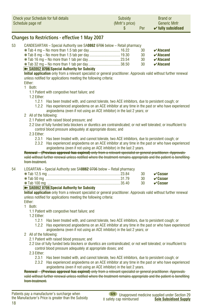<span id="page-17-0"></span>

| Check your Schedule for full details | Subsidy        | <b>Brand or</b>               |
|--------------------------------------|----------------|-------------------------------|
| Schedule page ref                    | (Mnfr's price) | <b>Generic Mnfr</b>           |
|                                      | Per            | $\checkmark$ fully subsidised |

#### **Changes to Restrictions - effective 1 May 2007**

| 53 | CANDESARTAN – Special Authority see SA0862 0706 below – Retail pharmacy |    |                                   |
|----|-------------------------------------------------------------------------|----|-----------------------------------|
|    |                                                                         | 30 | $\boldsymbol{\checkmark}$ Atacand |
|    |                                                                         | 30 | $\boldsymbol{\checkmark}$ Atacand |
|    |                                                                         | 30 | $\boldsymbol{\checkmark}$ Atacand |
|    |                                                                         | 30 | $\boldsymbol{\checkmark}$ Atacand |
|    | By PADDED 0706 Proced Authority for Puboldy                             |    |                                   |

#### ➽ **SA0862 0706 Special Authority for Subsidy**

**Initial application** only from a relevant specialist or general practitioner. Approvals valid without further renewal unless notified for applications meeting the following criteria:

#### Either: 1 Both:

1.1 Patient with congestive heart failure; and

- 1.2 Either:
	- 1.2.1 Has been treated with, and cannot tolerate, two ACE inhibitors, due to persistent cough; or
	- 1.2.2 Has experienced angioedema on an ACE inhibitor at any time in the past or who have experienced angioedema (even if not using an ACE inhibitor) in the last 2 years; or

#### 2 All of the following:

- 2.1 Patient with raised blood pressure; and
- 2.2 Use of fully funded beta blockers or diuretics are contraindicated; or not well tolerated; or insufficient to control blood pressure adequately at appropriate doses; and

#### 2.3 Either:

- 2.3.1 Has been treated with, and cannot tolerate, two ACE inhibitors, due to persistent cough; or
- 2.3.2 Has experienced angioedema on an ACE inhibitor at any time in the past or who have experienced angioedema (even if not using an ACE inhibitor) in the last 2 years.

#### **Renewal – (Previous approval has expired)** only from a relevant specialist or general practitioner. Approvals valid without further renewal unless notified where the treatment remains appropriate and the patient is benefiting from treatment.

| 54 | LOSARTAN - Special Authority see SA0862 0706 below - Retail pharmacy                                                                                                                                                                                                                                                                                                                 |  |                      |  |  |  |
|----|--------------------------------------------------------------------------------------------------------------------------------------------------------------------------------------------------------------------------------------------------------------------------------------------------------------------------------------------------------------------------------------|--|----------------------|--|--|--|
|    |                                                                                                                                                                                                                                                                                                                                                                                      |  |                      |  |  |  |
|    |                                                                                                                                                                                                                                                                                                                                                                                      |  | 30 $\sqrt{a}$ Cozaar |  |  |  |
|    |                                                                                                                                                                                                                                                                                                                                                                                      |  | 30 $\sqrt{c}$ Ozaar  |  |  |  |
|    | $\overline{1}$ $\overline{0}$ $\overline{0}$ $\overline{0}$ $\overline{0}$ $\overline{0}$ $\overline{0}$ $\overline{0}$ $\overline{0}$ $\overline{0}$ $\overline{0}$ $\overline{0}$ $\overline{0}$ $\overline{0}$ $\overline{0}$ $\overline{0}$ $\overline{0}$ $\overline{0}$ $\overline{0}$ $\overline{0}$ $\overline{0}$ $\overline{0}$ $\overline{0}$ $\overline{0}$ $\overline{$ |  |                      |  |  |  |

#### ➽ **SA0862 0706 Special Authority for Subsidy**

**Initial application** only from a relevant specialist or general practitioner. Approvals valid without further renewal unless notified for applications meeting the following criteria:

Either:

- 1 Both:
	- 1.1 Patient with congestive heart failure; and

1.2 Either:

- 1.2.1 Has been treated with, and cannot tolerate, two ACE inhibitors, due to persistent cough; or
- 1.2.2 Has experienced angioedema on an ACE inhibitor at any time in the past or who have experienced angioedema (even if not using an ACE inhibitor) in the last 2 years; or
- 2 All of the following:
	- 2.1 Patient with raised blood pressure; and
	- 2.2 Use of fully funded beta blockers or diuretics are contraindicated; or not well tolerated; or insufficient to control blood pressure adequately at appropriate doses; and

2.3 Either:

- 2.3.1 Has been treated with, and cannot tolerate, two ACE inhibitors, due to persistent cough; or
- 2.3.2 Has experienced angioedema on an ACE inhibitor at any time in the past or who have experienced angioedema (even if not using an ACE inhibitor) in the last 2 years.

**Renewal – (Previous approval has expired)** only from a relevant specialist or general practitioner. Approvals valid without further renewal unless notified where the treatment remains appropriate and the patient is benefiting from treatment.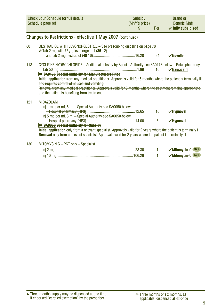<span id="page-18-0"></span>

|     | Check your Schedule for full details<br>Schedule page ref                                                                                                                                                                                                                                                                                                                                                | Subsidy<br>(Mnfr's price)<br>\$. | Per | <b>Brand or</b><br><b>Generic Mnfr</b><br>$\checkmark$ fully subsidised |
|-----|----------------------------------------------------------------------------------------------------------------------------------------------------------------------------------------------------------------------------------------------------------------------------------------------------------------------------------------------------------------------------------------------------------|----------------------------------|-----|-------------------------------------------------------------------------|
|     | Changes to Restrictions - effective 1 May 2007 (continued)                                                                                                                                                                                                                                                                                                                                               |                                  |     |                                                                         |
| 80  | OESTRADIOL WITH LEVONORGESTREL - See prescribing guideline on page 78<br>$*$ Tab 2 mg with 75 $\mu$ g levonorgestrel (36 +2)                                                                                                                                                                                                                                                                             |                                  |     |                                                                         |
|     |                                                                                                                                                                                                                                                                                                                                                                                                          |                                  | 84  | $\boldsymbol{\nu}$ Nuvelle                                              |
| 113 | CYCLIZINE HYDROCHLORIDE - Additional subsidy by Special Authority see SA0178 below - Retail pharmacy                                                                                                                                                                                                                                                                                                     |                                  | 10  | $\checkmark$ Nausicalm                                                  |
|     | <b>&gt;&gt; SA0178</b> Special Authority for Manufacturers Price<br>Initial application from any medical practitioner. Approvals valid for 6 months where the patient is terminally ill-<br>and requires control of nausea and vomiting.<br>Renewal from any medical practitioner. Approvals valid for 6 months where the treatment remains appropriate<br>and the patient is benefiting from treatment. |                                  |     |                                                                         |
| 121 | <b>MIDAZOLAM</b><br>Inj 1 mg per ml, 5 ml - Special Authority see SA0050 below<br>Inj 5 mg per ml, 3 ml - Special Authority see SA0050 below                                                                                                                                                                                                                                                             |                                  | 10  | $\checkmark$ Hypnovel                                                   |
|     | <b>B+ SA0050 Special Authority for Subsidy</b><br>Initial application only from a relevant specialist. Approvals valid for 2 years where the patient is terminally ill.<br>Renewal only from a relevant specialist. Approvals valid for 2 years where the patient is terminally ill.                                                                                                                     |                                  | 5   | $\checkmark$ Hypnovel                                                   |
| 130 | MITOMYCIN C - PCT only - Specialist                                                                                                                                                                                                                                                                                                                                                                      |                                  |     |                                                                         |
|     |                                                                                                                                                                                                                                                                                                                                                                                                          |                                  | 1   | <b>S29</b><br>$\vee$ Mitomycin-C                                        |
|     |                                                                                                                                                                                                                                                                                                                                                                                                          |                                  | 1   | $\mathcal V$ Mitomycin-C $s29$                                          |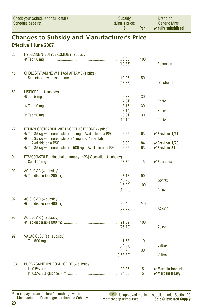|     | \$                                                                                                                                     | Per | $\checkmark$ fully subsidised              |
|-----|----------------------------------------------------------------------------------------------------------------------------------------|-----|--------------------------------------------|
|     | <b>Changes to Subsidy and Manufacturer's Price</b>                                                                                     |     |                                            |
|     | <b>Effective 1 June 2007</b>                                                                                                           |     |                                            |
| 26  | HYOSCINE N-BUTYLBROMIDE (4 subsidy)                                                                                                    |     |                                            |
|     |                                                                                                                                        | 100 |                                            |
|     | (10.85)                                                                                                                                |     | <b>Buscopan</b>                            |
| 45  | <b>CHOLESTYRAMINE WITH ASPARTAME (1 price)</b>                                                                                         |     |                                            |
|     |                                                                                                                                        | 50  |                                            |
|     | (28.88)                                                                                                                                |     | Questran-Lite                              |
| 53  | LISINOPRIL (+ subsidy)                                                                                                                 |     |                                            |
|     |                                                                                                                                        | 30  |                                            |
|     | (4.91)                                                                                                                                 |     | <b>Prinivil</b>                            |
|     |                                                                                                                                        | 30  |                                            |
|     | (7.14)                                                                                                                                 |     | <b>Prinivil</b>                            |
|     |                                                                                                                                        | 30  |                                            |
|     | (10.10)                                                                                                                                |     | <b>Prinivil</b>                            |
| 72  | ETHINYLOESTRADIOL WITH NORETHISTERONE (4 price)                                                                                        |     |                                            |
|     | $*$ Tab 35 $\mu$ g with norethisterone 1 mg – Available on a PS0 6.62<br>$*$ Tab 35 $\mu$ g with norethisterone 1 mg and 7 inert tab – | 63  | $\checkmark$ Brevinor 1/21                 |
|     |                                                                                                                                        | 84  | $\checkmark$ Brevinor 1/28                 |
|     | $*$ Tab 35 $\mu$ g with norethisterone 500 $\mu$ g - Available on a PSO  6.62                                                          | 63  | $\vee$ Brevinor 21                         |
| 91  | ITRACONAZOLE - Hospital pharmacy [HP3]-Specialist (# subsidy)                                                                          |     |                                            |
|     |                                                                                                                                        | 15  | $\checkmark$ Sporanox                      |
| 92  | ACICLOVIR (+ subsidy)                                                                                                                  |     |                                            |
|     |                                                                                                                                        | 90  |                                            |
|     | (48.75)                                                                                                                                |     | <b>Zovirax</b>                             |
|     | 7.92                                                                                                                                   | 100 |                                            |
|     | (10.00)                                                                                                                                |     | <b>Acicvir</b>                             |
|     |                                                                                                                                        |     |                                            |
| 92  | ACICLOVIR (+ subsidy)                                                                                                                  |     |                                            |
|     |                                                                                                                                        | 240 |                                            |
|     | (36.00)                                                                                                                                |     | <b>Acicvir</b>                             |
| 92  | ACICLOVIR (+ subsidy)                                                                                                                  |     |                                            |
|     |                                                                                                                                        | 100 |                                            |
|     | (26.70)                                                                                                                                |     | <b>Acicvir</b>                             |
| 92  | VALACICLOVIR (4 subsidy)                                                                                                               |     |                                            |
|     |                                                                                                                                        | 10  |                                            |
|     | (54.63)                                                                                                                                |     | <b>Valtrex</b>                             |
|     | 4.74                                                                                                                                   | 30  |                                            |
|     | (163.80)                                                                                                                               |     | <b>Valtrex</b>                             |
| 104 | BUPIVACAINE HYDROCHLORIDE (4 subsidy)                                                                                                  |     |                                            |
|     |                                                                                                                                        | 5   | $\boldsymbol{\checkmark}$ Marcain Isobaric |
|     |                                                                                                                                        | 5   | $\boldsymbol{\checkmark}$ Marcain Heavy    |

Subsidy

(Mnfr's price)

**Brand or** 

**Generic Mnfr** 

<span id="page-19-0"></span>Check your Schedule for full details

Schedule page ref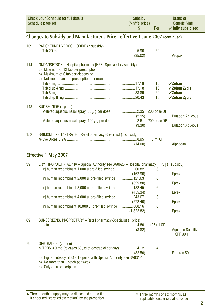<span id="page-20-0"></span>

| Check your Schedule for full details | Subsidy        | <b>Brand or</b>               |
|--------------------------------------|----------------|-------------------------------|
| Schedule page ref                    | (Mnfr's price) | <b>Generic Mnfr</b>           |
|                                      | Per            | $\checkmark$ fully subsidised |

### **Changes to Subsidy and Manufacturer's Price - effective 1 June 2007 (continued)**

| 109 | PAROXETINE HYDROCHLORIDE (1 subsidy)                                                                                                                                                        |                  | 30                         |                                                                                                                         |
|-----|---------------------------------------------------------------------------------------------------------------------------------------------------------------------------------------------|------------------|----------------------------|-------------------------------------------------------------------------------------------------------------------------|
|     |                                                                                                                                                                                             | (35.02)          |                            | Aropax                                                                                                                  |
| 114 | ONDANSETRON – Hospital pharmacy [HP3]-Specialist († subsidy)<br>a) Maximum of 12 tab per prescription<br>b) Maximum of 6 tab per dispensing<br>c) Not more than one prescription per month. |                  | 10<br>10<br>20<br>10       | $\boldsymbol{\mathsf{v}}$ Zofran<br>$\checkmark$ Zofran Zydis<br>$\boldsymbol{\nu}$ Zofran<br>$\checkmark$ Zofran Zydis |
| 148 | <b>BUDESONIDE</b> († price)                                                                                                                                                                 | (2.95)<br>(3.30) | 200 dose OP<br>200 dose OP | <b>Butacort Aqueous</b><br><b>Butacort Aqueous</b>                                                                      |
| 152 | BRIMONIDINE TARTRATE – Retail pharmacy-Specialist $(1 \text{ subsidy})$                                                                                                                     | (14.00)          | 5 ml OP                    | Alphagan                                                                                                                |

### **Effective 1 May 2007**

| 39 | ERYTHROPOIETIN ALPHA – Special Authority see SA0626 – Hospital pharmacy [HP3] ( $\downarrow$ subsidy)<br>Inj human recombinant 1,000 u pre-filled syringe 60.82 |            | 6         |                                       |
|----|-----------------------------------------------------------------------------------------------------------------------------------------------------------------|------------|-----------|---------------------------------------|
|    |                                                                                                                                                                 | (162.90)   |           | Eprex                                 |
|    | Inj human recombinant 2,000 u, pre-filled syringe  121.63                                                                                                       |            | 6         |                                       |
|    |                                                                                                                                                                 | (325.80)   |           | Eprex                                 |
|    | Inj human recombinant 3,000 u, pre-filled syringe  182.45                                                                                                       |            | 6         |                                       |
|    |                                                                                                                                                                 | (455.34)   |           | Eprex                                 |
|    | Inj human recombinant 4,000 u, pre-filled syringe 243.67                                                                                                        | (572.40)   | 6         | Eprex                                 |
|    | Inj human recombinant 10,000 u, pre-filled syringe 608.16                                                                                                       |            | 6         |                                       |
|    |                                                                                                                                                                 | (1,322.82) |           | Eprex                                 |
| 69 | SUNSCREENS, PROPRIETARY - Retail pharmacy-Specialist (# price)                                                                                                  |            |           |                                       |
|    |                                                                                                                                                                 |            | 125 ml OP |                                       |
|    |                                                                                                                                                                 | (8.82)     |           | <b>Aquasun Sensitive</b><br>SPF $30+$ |
| 79 | OESTRADIOL (4 price)                                                                                                                                            |            |           |                                       |
|    | $*$ TDDS 3.9 mg (releases 50 $\mu$ g of oestradiol per day) 4.12                                                                                                | (32.50)    | 4         | Femtran 50                            |
|    | a) Higher subsidy of \$13.18 per 4 with Special Authority see SA0312<br>b) No more than 1 patch per week<br>c) Only on a prescription                           |            |           |                                       |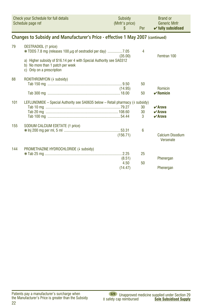<span id="page-21-0"></span>

|     | <b>Check your Schedule for full details</b><br>Schedule page ref                                                                      | Subsidy<br>(Mnfr's price)<br>\$ | Per | <b>Brand or</b><br><b>Generic Mnfr</b><br>$\checkmark$ fully subsidised |
|-----|---------------------------------------------------------------------------------------------------------------------------------------|---------------------------------|-----|-------------------------------------------------------------------------|
|     | Changes to Subsidy and Manufacturer's Price - effective 1 May 2007 (continued)                                                        |                                 |     |                                                                         |
| 79  | <b>OESTRADIOL</b> († price)<br>*TDDS 7.8 mg (releases 100 µg of oestradiol per day) 7.05                                              | (35.00)                         | 4   | Femtran 100                                                             |
|     | a) Higher subsidy of \$16.14 per 4 with Special Authority see SA0312<br>b) No more than 1 patch per week<br>c) Only on a prescription |                                 |     |                                                                         |
| 88  | ROXITHROMYCIN (4 subsidy)                                                                                                             |                                 |     |                                                                         |
|     |                                                                                                                                       |                                 | 50  |                                                                         |
|     |                                                                                                                                       | (14.95)                         | 50  | Romicin<br>$\vee$ Romicin                                               |
|     |                                                                                                                                       |                                 |     |                                                                         |
| 101 | LEFLUNOMIDE - Special Authority see SA0635 below - Retail pharmacy (# subsidy)                                                        |                                 |     |                                                                         |
|     |                                                                                                                                       |                                 | 30  | $\vee$ Arava                                                            |
|     |                                                                                                                                       |                                 | 30  | $\vee$ Arava                                                            |
|     |                                                                                                                                       |                                 | 3   | $\vee$ Arava                                                            |
| 155 | SODIUM CALCIUM EDETATE († price)                                                                                                      |                                 |     |                                                                         |
|     |                                                                                                                                       |                                 | 6   |                                                                         |
|     |                                                                                                                                       | (156.71)                        |     | <b>Calcium Disodium</b><br>Versenate                                    |
| 144 | PROMETHAZINE HYDROCHLORIDE (+ subsidy)                                                                                                |                                 |     |                                                                         |
|     |                                                                                                                                       |                                 | 25  |                                                                         |
|     |                                                                                                                                       | (8.51)                          |     | Phenergan                                                               |
|     |                                                                                                                                       | 4.50                            | 50  |                                                                         |
|     |                                                                                                                                       | (14.47)                         |     | Phenergan                                                               |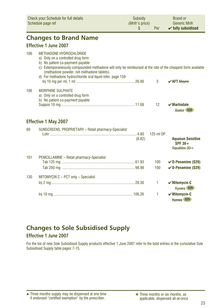<span id="page-22-0"></span>

|     | <b>Check your Schedule for full details</b><br>Schedule page ref                                                                                                                                                                                                                                                                   | Subsidy<br>(Mnfr's price)<br>\$ | Per        | <b>Brand or</b><br><b>Generic Mnfr</b><br>$\checkmark$ fully subsidised |
|-----|------------------------------------------------------------------------------------------------------------------------------------------------------------------------------------------------------------------------------------------------------------------------------------------------------------------------------------|---------------------------------|------------|-------------------------------------------------------------------------|
|     | <b>Changes to Brand Name</b>                                                                                                                                                                                                                                                                                                       |                                 |            |                                                                         |
|     | Effective 1 June 2007                                                                                                                                                                                                                                                                                                              |                                 |            |                                                                         |
| 106 | <b>METHADONE HYDROCHLORIDE</b><br>a) Only on a controlled drug form<br>b) No patient co-payment payable<br>c) Extemporaneously compounded methadone will only be reimbursed at the rate of the cheapest form available<br>(methadone powder, not methadone tablets).<br>d) For methadone hydrochloride oral liquid refer, page 159 |                                 | 5          | $\sqrt{AFT}$ Mayne                                                      |
| 106 | <b>MORPHINE SULPHATE</b><br>a) Only on a controlled drug form<br>b) No patient co-payment payable                                                                                                                                                                                                                                  |                                 | 12         | $\boldsymbol{\nu}$ Martindale<br>Baxter S29                             |
|     | <b>Effective 1 May 2007</b>                                                                                                                                                                                                                                                                                                        |                                 |            |                                                                         |
| 69  | SUNSCREENS, PROPRIETARY - Retail pharmacy-Specialist                                                                                                                                                                                                                                                                               | (8.82)                          | 125 ml OP  | <b>Aquasun Sensitive</b><br>$SPF 30+$<br>Aquabloc 30+                   |
| 101 | PENICILLAMINE - Retail pharmacy-Specialist                                                                                                                                                                                                                                                                                         |                                 |            |                                                                         |
|     |                                                                                                                                                                                                                                                                                                                                    |                                 | 100<br>100 | $\nu$ D-Penamine (S29)<br>$\nu$ D-Penamine (S29)                        |
| 130 | MITOMYCIN C - PCT only - Specialist                                                                                                                                                                                                                                                                                                |                                 |            |                                                                         |
|     |                                                                                                                                                                                                                                                                                                                                    |                                 | 1          | $\sqrt{M}$ itomycin-C<br>Kyowa \$29                                     |
|     |                                                                                                                                                                                                                                                                                                                                    |                                 | 1          | $\checkmark$ Mitomycin-C<br>Kvowa S29                                   |

### **Changes to Sole Subsidised Supply**

### **Effective 1 June 2007**

For the list of new Sole Subsidised Supply products effective 1 June 2007 refer to the bold entries in the cumulative Sole Subsidised Supply table pages 7-15.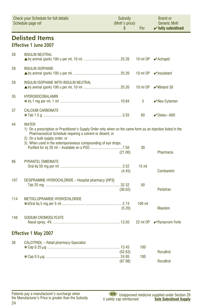<span id="page-23-0"></span>

|     | Check your Schedule for full details<br>Schedule page ref                                                                                                                                                                                                                                   | Subsidy<br>(Mnfr's price)<br>\$ | Per             | <b>Brand or</b><br><b>Generic Mnfr</b><br>$\checkmark$ fully subsidised |
|-----|---------------------------------------------------------------------------------------------------------------------------------------------------------------------------------------------------------------------------------------------------------------------------------------------|---------------------------------|-----------------|-------------------------------------------------------------------------|
|     | <b>Delisted Items</b><br><b>Effective 1 June 2007</b>                                                                                                                                                                                                                                       |                                 |                 |                                                                         |
| 28  | <b>INSULIN NEUTRAL</b>                                                                                                                                                                                                                                                                      |                                 | 10 ml OP        | $\blacktriangleright$ Actrapid                                          |
| 28  | <b>INSULIN ISOPHANE</b>                                                                                                                                                                                                                                                                     |                                 | 10 ml OP        | $\mathbf{v}$ Insulatard                                                 |
| 28  | INSULIN ISOPHANE WITH INSULIN NEUTRAL                                                                                                                                                                                                                                                       |                                 | 10 ml OP        | $\mathbf{\triangledown}$ Mixtard 30                                     |
| 35  | <b>HYDROXOCOBALAMIN</b>                                                                                                                                                                                                                                                                     |                                 | 3               | $\vee$ Neo-Cytamen                                                      |
| 37  | <b>CALCIUM CARBONATE</b>                                                                                                                                                                                                                                                                    |                                 | 60              | $\vee$ Osteo ~600                                                       |
| 44  | <b>WATER</b><br>1) On a prescription or Practitioner's Supply Order only when on the same form as an injection listed in the<br>Pharmaceutical Schedule requiring a solvent or diluent; or<br>2) On a bulk supply order; or<br>3) When used in the extemporaneous compounding of eye drops. | (21.00)                         | 30              | Pharmacia                                                               |
| 86  | <b>PYRANTEL EMBONATE</b>                                                                                                                                                                                                                                                                    | (4.45)                          | 15 <sub>m</sub> | Combantrin                                                              |
| 107 | DESIPRAMINE HYDROCHLORIDE - Hospital pharmacy [HP3]                                                                                                                                                                                                                                         | (36.62)                         | 50              | Pertofran                                                               |
| 114 | <b>METOCLOPRAMIDE HYDROCHLORIDE</b>                                                                                                                                                                                                                                                         | (5.20)                          | $100$ ml        | Maxolon                                                                 |
| 148 | SODIUM CROMOGLYCATE                                                                                                                                                                                                                                                                         |                                 | 22 ml OP        | $\sqrt{\frac{1}{2}}$ Rynacrom Forte                                     |
|     | <b>Effective 1 May 2007</b>                                                                                                                                                                                                                                                                 |                                 |                 |                                                                         |
| 36  | CALCITRIOL - Retail pharmacy-Specialist                                                                                                                                                                                                                                                     | (52.63)<br>(87.98)              | 100<br>100      | Rocaltrol<br>Rocaltrol                                                  |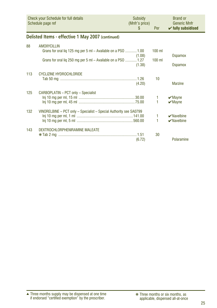<span id="page-24-0"></span>

|     | <b>Check your Schedule for full details</b><br>Schedule page ref                                                                              | Subsidy<br>(Mnfr's price)<br>\$ | Per                  | <b>Brand or</b><br><b>Generic Mnfr</b><br>$\checkmark$ fully subsidised |
|-----|-----------------------------------------------------------------------------------------------------------------------------------------------|---------------------------------|----------------------|-------------------------------------------------------------------------|
|     | Delisted Items - effective 1 May 2007 (continued)                                                                                             |                                 |                      |                                                                         |
| 88  | AMOXYCILLIN<br>Grans for oral lig 125 mg per 5 ml – Available on a PSO  1.00<br>Grans for oral lig 250 mg per 5 ml – Available on a PSO  1.27 | (1.08)<br>(1.38)                | $100$ ml<br>$100$ ml | <b>Ospamox</b><br><b>Ospamox</b>                                        |
| 113 | <b>CYCLIZINE HYDROCHLORIDE</b>                                                                                                                | (4.20)                          | 10                   | <b>Marzine</b>                                                          |
| 125 | CARBOPLATIN - PCT only - Specialist                                                                                                           |                                 | 1                    | $\boldsymbol{\nu}$ Mayne<br>$\mathbf{v}$ Mayne                          |
| 132 | VINORELBINE - PCT only - Specialist - Special Authority see SA0799                                                                            |                                 | 1<br>1               | $\vee$ Navelbine<br>$\vee$ Navelbine                                    |
| 143 | DEXTROCHLORPHENIRAMINE MALEATE                                                                                                                | (6.72)                          | 30                   | Polaramine                                                              |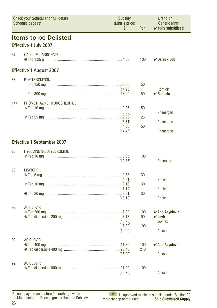<span id="page-25-0"></span>

| <b>Check your Schedule for full details</b><br>Schedule page ref |                                                             | Subsidy<br>(Mnfr's price)<br>S      | Per              | Brand or<br><b>Generic Mnfr</b><br>$\checkmark$ fully subsidised                           |  |
|------------------------------------------------------------------|-------------------------------------------------------------|-------------------------------------|------------------|--------------------------------------------------------------------------------------------|--|
|                                                                  | <b>Items to be Delisted</b><br><b>Effective 1 July 2007</b> |                                     |                  |                                                                                            |  |
| 37                                                               | <b>CALCIUM CARBONATE</b>                                    |                                     | 100              | $\checkmark$ Osteo ~500                                                                    |  |
|                                                                  | <b>Effective 1 August 2007</b>                              |                                     |                  |                                                                                            |  |
| 88                                                               | <b>ROXITHROMYCIN</b>                                        | (14.95)                             | 50               | Romicin                                                                                    |  |
|                                                                  |                                                             |                                     | 50               | $\checkmark$ Romicin                                                                       |  |
| 144                                                              | PROMETHAZINE HYDROCHLORIDE                                  | (8.58)<br>(8.51)<br>4.50<br>(14.47) | 50<br>25<br>50   | Phenergan<br>Phenergan<br>Phenergan                                                        |  |
|                                                                  | <b>Effective 1 September 2007</b>                           |                                     |                  |                                                                                            |  |
| 26                                                               | <b>HYOSCINE N-BUTYLBROMIDE</b>                              | (10.85)                             | 100              | <b>Buscopan</b>                                                                            |  |
| 53                                                               | <b>LISINOPRIL</b>                                           | (4.91)<br>(7.14)<br>(10.10)         | 30<br>30<br>30   | Prinivil<br>Prinivil<br>Prinivil                                                           |  |
| 92                                                               | <b>ACICLOVIR</b>                                            | (48.75)<br>7.92<br>(10.00)          | 100<br>90<br>100 | $\boldsymbol{\checkmark}$ Apo-Acyclovir<br>$\nu$ Lovir<br><b>Zovirax</b><br><b>Acicvir</b> |  |
| 92                                                               | <b>ACICLOVIR</b>                                            | (36.00)                             | 100<br>240       | <b>∠</b> Apo-Acyclovir<br>Acicvir                                                          |  |
| 92                                                               | <b>ACICLOVIR</b>                                            | (26.70)                             | 100              | Acicvir                                                                                    |  |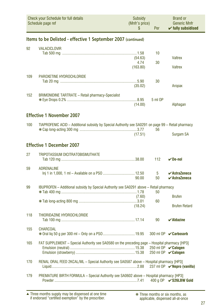<span id="page-26-0"></span>

| Check your Schedule for full details<br>Schedule page ref |                                                                                                    | <b>Subsidy</b><br>(Mnfr's price)<br>\$ | Per      | <b>Brand or</b><br><b>Generic Mnfr</b><br>$\checkmark$ fully subsidised        |  |
|-----------------------------------------------------------|----------------------------------------------------------------------------------------------------|----------------------------------------|----------|--------------------------------------------------------------------------------|--|
|                                                           | Items to be Delisted - effective 1 September 2007 (continued)                                      |                                        |          |                                                                                |  |
| 92                                                        | <b>VALACICLOVIR</b>                                                                                | (54.63)<br>4.74<br>(163.80)            | 10<br>30 | <b>Valtrex</b><br><b>Valtrex</b>                                               |  |
| 109                                                       | PAROXETINE HYDROCHLORIDE                                                                           | (35.02)                                | 30       | Aropax                                                                         |  |
| 152                                                       | <b>BRIMONIDINE TARTRATE - Retail pharmacy-Specialist</b>                                           | (14.00)                                | 5 ml OP  | Alphagan                                                                       |  |
|                                                           | <b>Effective 1 November 2007</b>                                                                   |                                        |          |                                                                                |  |
| 100                                                       | TIAPROFENIC ACID - Additional subsidy by Special Authority see SA0291 on page 99 - Retail pharmacy | (17.51)                                | 56       | Surgam SA                                                                      |  |
|                                                           | <b>Effective 1 December 2007</b>                                                                   |                                        |          |                                                                                |  |
| 27                                                        | <b>TRIPOTASSIUM DICITRATOBISMUTHATE</b>                                                            |                                        | 112      | $\vee$ De-nol                                                                  |  |
| 59                                                        | <b>ADRENALINE</b>                                                                                  | 90.00                                  | 5<br>50  | $\boldsymbol{\checkmark}$ AstraZeneca<br>$\boldsymbol{\checkmark}$ AstraZeneca |  |
| 99                                                        | IBUPROFEN - Additional subsidy by Special Authority see SA0291 above - Retail pharmacy             |                                        | 50       |                                                                                |  |
|                                                           |                                                                                                    | (7.60)<br>(18.24)                      | 60       | <b>Brufen</b><br><b>Brufen Retard</b>                                          |  |
| 118                                                       | THIORIDAZINE HYDROCHLORIDE                                                                         |                                        | 90       | $\boldsymbol{\nu}$ Aldazine                                                    |  |
| 155                                                       | <b>CHARCOAL</b>                                                                                    |                                        |          | 300 ml OP <b>√ Carbosorb</b>                                                   |  |
| 165                                                       | FAT SUPPLEMENT - Special Authority see SA0580 on the preceding page - Hospital pharmacy [HP3]      |                                        |          | 250 ml OP <b>∠ Calogen</b><br>250 ml OP <b>∠ Calogen</b>                       |  |
| 170                                                       | RENAL ORAL FEED 2KCAL/ML - Special Authority see SA0587 above - Hospital pharmacy [HP3]            |                                        |          |                                                                                |  |
| 179                                                       | PREMATURE BIRTH FORMULA - Special Authority see SA0602 above - Hospital pharmacy [HP3]             |                                        |          | 400 g OP <b>√ S26LBW Gold</b>                                                  |  |

Three months supply may be dispensed at one time if endorsed "certified exemption" by the prescriber. ▲ ❋ Three months or six months, as

applicable, dispensed all-at-once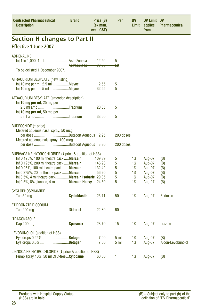<span id="page-27-0"></span>

| <b>Contracted Pharmaceutical</b><br><b>Description</b>                                                                                                                                                                                                                                                                                        | <b>Brand</b> | Price (\$)<br>(ex man.<br>excl. GST)         | Per                        | DV<br>Limit                      | <b>DV Limit DV</b><br>applies<br>from                    | <b>Pharmaceutical</b>                  |  |  |  |
|-----------------------------------------------------------------------------------------------------------------------------------------------------------------------------------------------------------------------------------------------------------------------------------------------------------------------------------------------|--------------|----------------------------------------------|----------------------------|----------------------------------|----------------------------------------------------------|----------------------------------------|--|--|--|
| <b>Section H changes to Part II</b>                                                                                                                                                                                                                                                                                                           |              |                                              |                            |                                  |                                                          |                                        |  |  |  |
| <b>Effective 1 June 2007</b>                                                                                                                                                                                                                                                                                                                  |              |                                              |                            |                                  |                                                          |                                        |  |  |  |
| <b>ADRENALINE</b><br>Inj 1 in 1,000, 1 ml AstraZeneca-                                                                                                                                                                                                                                                                                        | AstraZeneca  | 12.50<br>90.00                               | 5<br>50                    |                                  |                                                          |                                        |  |  |  |
| To be delisted 1 December 2007.                                                                                                                                                                                                                                                                                                               |              |                                              |                            |                                  |                                                          |                                        |  |  |  |
| ATRACURIUM BESYLATE (new listing)<br>Inj 10 mg per ml, 2.5 ml Mayne<br>Inj 10 mg per ml, 5 ml Mayne                                                                                                                                                                                                                                           |              | 12.55<br>32.55                               | 5<br>5                     |                                  |                                                          |                                        |  |  |  |
| ATRACURIUM BESYLATE (amended description)<br>$lnj$ 10 mg per ml, $25 \text{ mg per}$<br>2.5 ml amp Tracrium<br>Inj 10 mg per ml, 50 mg per<br>5 ml amp Tracrium                                                                                                                                                                               |              | 20.65<br>38.50                               | 5<br>5                     |                                  |                                                          |                                        |  |  |  |
| <b>BUDESONIDE</b> ( <i>t</i> price)<br>Metered aqueous nasal spray, 50 mcg<br>Metered aqueous nala spray, 100 mcg                                                                                                                                                                                                                             |              | 2.95                                         | 200 doses<br>200 doses     |                                  |                                                          |                                        |  |  |  |
| BUPIVACAINE HYDROCHLORIDE (4 price & addition of HSS)<br>Inf 0.125%, 100 ml theatre pack  Marcain<br>Inf 0.125%, 200 ml theatre pack  Marcain<br>Inf 0.25%, 100 ml theatre pack <b>Marcain</b><br>Inj 0.375%, 20 ml theatre pack  Marcain<br>Inj 0.5%, 4 ml theatre pack  Marcain Isobaric 29.35<br>Inj 0.5%, 8% glucose, 4 ml  Marcain Heavy |              | 109.39<br>146.23<br>132.42<br>56.20<br>24.50 | 5<br>5<br>5<br>5<br>5<br>5 | 1%<br>1%<br>1%<br>1%<br>1%<br>1% | Aug-07<br>Aug-07<br>Aug-07<br>Aug-07<br>Aug-07<br>Aug-07 | (B)<br>(B)<br>(B)<br>(B)<br>(B)<br>(B) |  |  |  |
| <b>CYCLOPHOSPHAMIDE</b>                                                                                                                                                                                                                                                                                                                       |              | 25.71                                        | 50                         | 1%                               | Aug-07                                                   | Endoxan                                |  |  |  |
| ETIDRONATE DISODIUM                                                                                                                                                                                                                                                                                                                           |              | 22.80                                        | 60                         |                                  |                                                          |                                        |  |  |  |
| <b>ITRACONAZOLE</b>                                                                                                                                                                                                                                                                                                                           |              | 23.70                                        | 15                         | 1%                               | Aug-07                                                   | <b>Itrazole</b>                        |  |  |  |
| LEVOBUNOLOL (addition of HSS)<br>Eye drops 0.25%  Betagan<br>Eye drops 0.5% <b>Betagan</b>                                                                                                                                                                                                                                                    |              | 7.00<br>7.00                                 | 5 ml<br>5 <sub>m</sub>     | 1%<br>1%                         | Aug-07<br>Aug-07                                         | (B)<br>Alcon-Levobunolol               |  |  |  |
| LIGNOCAINE HYDROCHLORIDE (4 price & addition of HSS)<br>Pump spray 10%, 50 ml CFC-free  Xylocaine                                                                                                                                                                                                                                             |              | 60.00                                        | 1                          | 1%                               | Aug-07                                                   | (B)                                    |  |  |  |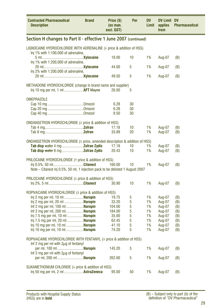<span id="page-28-0"></span>

| <b>Contracted Pharmaceutical</b><br><b>Description</b>                                                           | <b>Brand</b>                                                     | Price (\$)<br>(ex man.<br>excl. GST) | Per | DV<br>Limit | <b>DV Limit DV</b><br>applies<br>from | <b>Pharmaceutical</b> |  |  |  |
|------------------------------------------------------------------------------------------------------------------|------------------------------------------------------------------|--------------------------------------|-----|-------------|---------------------------------------|-----------------------|--|--|--|
|                                                                                                                  | Section H changes to Part II - effective 1 June 2007 (continued) |                                      |     |             |                                       |                       |  |  |  |
| LIGNOCAINE HYDROCHLORIDE WITH ADRENALINE (4 price & addition of HSS)<br>Inj $1\%$ with 1:100,000 of adrenaline,  |                                                                  |                                      |     |             |                                       |                       |  |  |  |
| Inj 1% with 1:200,000 of adrenaline,                                                                             |                                                                  | 18.00                                | 10  | 1%          | Aug-07                                | (B)                   |  |  |  |
| Inj 2% with 1:200,000 of adrenaline,                                                                             |                                                                  | 44.00                                | 5   | 1%          | Aug-07                                | (B)                   |  |  |  |
|                                                                                                                  |                                                                  | 49.50                                | 5   | 1%          | Aug-07                                | (B)                   |  |  |  |
| METHADONE HYDROCHLORIDE (change in brand name and supplier)<br>lnj 10 mg per ml, 1 ml <b>AFT Mayne</b>           |                                                                  | 26.00                                | 5   |             |                                       |                       |  |  |  |
| <b>OMEPRAZOLE</b>                                                                                                |                                                                  |                                      |     |             |                                       |                       |  |  |  |
|                                                                                                                  |                                                                  | 6.28                                 | 30  |             |                                       |                       |  |  |  |
|                                                                                                                  |                                                                  | 6.28                                 | 30  |             |                                       |                       |  |  |  |
|                                                                                                                  |                                                                  | 9.50                                 | 30  |             |                                       |                       |  |  |  |
| ONDANSETRON HYDROCHLORIDE (4 price & addition of HSS)                                                            |                                                                  |                                      |     |             |                                       |                       |  |  |  |
|                                                                                                                  |                                                                  | 17.18                                | 10  | 1%          | Aug-07                                | (B)                   |  |  |  |
|                                                                                                                  |                                                                  | 33.89                                | 20  | 1%          | Aug-07                                | (B)                   |  |  |  |
| ONDANSETRON HYDROCHLORIDE (4 price, amended description & addition of HSS)                                       |                                                                  |                                      |     |             |                                       |                       |  |  |  |
|                                                                                                                  |                                                                  | 17.18                                | 10  | 1%          | Aug-07                                | (B)                   |  |  |  |
|                                                                                                                  |                                                                  | 20.43                                | 10  | 1%          | Aug-07                                | (B)                   |  |  |  |
|                                                                                                                  |                                                                  |                                      |     |             |                                       |                       |  |  |  |
| PRILOCAINE HYDROCHLORIDE (1 price & addition of HSS)                                                             |                                                                  |                                      |     |             |                                       |                       |  |  |  |
| Inj 0.5%, 50 mlCitanest                                                                                          |                                                                  | 160.00                               | 10  | 1%          | Aug-07                                | (B)                   |  |  |  |
| Note - Citanest inj 0.5%, 50 ml, 1 injection pack to be delisted 1 August 2007                                   |                                                                  |                                      |     |             |                                       |                       |  |  |  |
| PRILOCAINE HYDROCHLORIDE (4 price & addition of HSS)                                                             |                                                                  |                                      |     |             |                                       |                       |  |  |  |
|                                                                                                                  |                                                                  | 30.90                                | 10  | 1%          | Aug-07                                | (B)                   |  |  |  |
|                                                                                                                  |                                                                  |                                      |     |             |                                       |                       |  |  |  |
| ROPIVACAINE HYDROCHLORIDE (4 price & addition of HSS)                                                            |                                                                  |                                      |     |             |                                       |                       |  |  |  |
| Inj 2 mg per ml, 10 ml Naropin                                                                                   |                                                                  | 19.75                                | 5   | 1%          | Aug-07                                | (B)                   |  |  |  |
| Inj 2 mg per ml, 20 ml Naropin                                                                                   |                                                                  | 33.20                                | 5   | 1%          | Aug-07                                | (B)                   |  |  |  |
| Inf 2 mg per ml, 100 mlNaropin                                                                                   |                                                                  | 104.00                               | 5   | 1%          | Aug-07                                | (B)                   |  |  |  |
| Inf 2 mg per ml, 200 mlNaropin                                                                                   |                                                                  | 184.00                               | 5   | 1%          | Aug-07                                | (B)                   |  |  |  |
| lnj 7.5 mg per ml, 10 ml <b>Naropin</b>                                                                          |                                                                  | 35.00                                | 5   | 1%          | Aug-07                                | (B)                   |  |  |  |
| Inj 7.5 mg per ml, 20 ml Naropin                                                                                 |                                                                  | 62.45                                | 5   | 1%          | Aug-07                                | (B)                   |  |  |  |
| Inj 10 mg per ml, 10 ml Naropin                                                                                  |                                                                  | 41.10                                | 5   | 1%          | Aug-07                                | (B)                   |  |  |  |
| lnj 10 mg per ml, 10 ml <b>Naropin</b>                                                                           |                                                                  | 74.20                                | 5   | 1%          | Aug-07                                | (B)                   |  |  |  |
| ROPIVACAINE HYDROCHLORIDE WITH FENTANYL (4 price & addition of HSS)<br>Inf 2 mg per ml with $2\mu$ g of fentanyl |                                                                  |                                      |     |             |                                       |                       |  |  |  |
| per ml, 100 ml Naropin                                                                                           |                                                                  | 145.20                               | 5   | 1%          | Aug-07                                | (B)                   |  |  |  |
| Inf 2 mg per ml with $2\mu$ g of fentanyl<br>per ml, 200 ml <b>Naropin</b>                                       |                                                                  | 262.60                               | 5   | 1%          | Aug-07                                | (B)                   |  |  |  |
|                                                                                                                  |                                                                  |                                      |     |             |                                       |                       |  |  |  |
| SUXAMETHONIUM CHLORIDE (4 price & addition of HSS)<br>Inj 50 mg per ml, 2 ml <b>AstraZeneca</b>                  |                                                                  | 95.00                                | 50  | 1%          | Aug-07                                | (B)                   |  |  |  |
|                                                                                                                  |                                                                  |                                      |     |             |                                       |                       |  |  |  |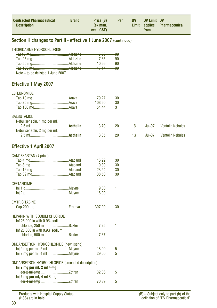<span id="page-29-0"></span>

| <b>Contracted Pharmaceutical</b><br><b>Description</b> | <b>Brand</b> | Price (\$)<br>(ex man.<br>excl. GST) | <b>Per</b> | <b>DV</b> | DV Limit DV<br>from | Limit applies Pharmaceutical |
|--------------------------------------------------------|--------------|--------------------------------------|------------|-----------|---------------------|------------------------------|
|                                                        |              |                                      |            |           |                     |                              |

### **Section H changes to Part II - effective 1 June 2007 (continued)**

| TUINDINAZINE UVNDAAUI ADINE |  |
|-----------------------------|--|
|                             |  |

|  | 00 <sub>o</sub>       | 90            |
|--|-----------------------|---------------|
|  | <del>u.oo</del>       |               |
|  | 705                   | <del>90</del> |
|  | <del>7.00</del>       |               |
|  | 10.66<br><b>TURUP</b> | <del>90</del> |
|  |                       |               |
|  | 1711<br>17.TT         | <del>90</del> |
|  |                       |               |
|  |                       |               |

Note – to be delisted 1 June 2007

### **Effective 1 May 2007**

| LEFLUNOMIDE |  |  |  |
|-------------|--|--|--|
|             |  |  |  |

|                              | 79.27<br>108.60 | 30<br>30 |  |                            |
|------------------------------|-----------------|----------|--|----------------------------|
|                              | 54.44           | -3       |  |                            |
| <b>SALBUTAMOL</b>            |                 |          |  |                            |
| Nebuliser soln, 1 mg per ml, | 3.70            | 20 L     |  | 1% Jul-07 Ventolin Nebules |
| Nebuliser soln, 2 mg per ml, |                 |          |  |                            |

2.5 ml........................................**Asthalin** 3.85 20 1% Jul-07 Ventolin Nebules

### **Effective 1 April 2007**

| CANDESARTAN (+ price)                                  |        |    |
|--------------------------------------------------------|--------|----|
|                                                        | 16.22  | 30 |
|                                                        | 19.30  | 30 |
|                                                        | 23.54  | 30 |
|                                                        | 38.50  | 30 |
|                                                        |        |    |
| <b>CEFTAZIDIME</b>                                     |        |    |
|                                                        | 9.00   | 1  |
|                                                        | 18.00  | 1  |
|                                                        |        |    |
| <b>EMTRICITABINE</b>                                   |        |    |
|                                                        | 307.20 | 30 |
|                                                        |        |    |
| <b>HEPARIN WITH SODIUM CHLORIDE</b>                    |        |    |
| Inf 25,000 iu with 0.9% sodium                         |        |    |
| chloride, 250 ml Baxter                                | 7.25   | 1  |
| Inf 25,000 iu with 0.9% sodium                         |        |    |
| chloride, 500 mlBaxter                                 | 7.67   | 1  |
|                                                        |        |    |
| <b>ONDANSETRON HYDROCHLORIDE (new listing)</b>         |        |    |
|                                                        | 18.00  | 5  |
|                                                        | 29.00  | 5  |
|                                                        |        |    |
| <b>ONDANSETRON HYDROCHLORIDE (amended description)</b> |        |    |
| ln[i 2 mg per ml, 2 ml 4 mg]                           |        |    |
|                                                        | 32.86  | 5  |
| $ln[i 2 mg per ml, 4 ml \frac{8 mg}{4}$                |        |    |
|                                                        | 70.39  | 5  |
|                                                        |        |    |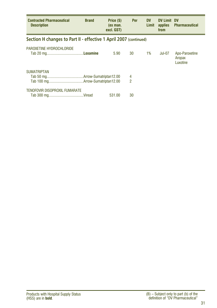<span id="page-30-0"></span>

| <b>Contracted Pharmaceutical</b><br><b>Description</b>            | <b>Brand</b> | Price (\$)<br>(ex man.<br>excl. GST) | <b>Per</b>          | <b>DV</b><br>Limit | <b>DV Limit</b><br>applies<br>from | <b>DV</b><br><b>Pharmaceutical</b>   |  |  |
|-------------------------------------------------------------------|--------------|--------------------------------------|---------------------|--------------------|------------------------------------|--------------------------------------|--|--|
| Section H changes to Part II - effective 1 April 2007 (continued) |              |                                      |                     |                    |                                    |                                      |  |  |
| PAROXETINE HYDROCHLORIDE                                          |              | 5.90                                 | 30                  | 1%                 | Jul-07                             | Apo-Paroxetine<br>Aropax<br>Luxotine |  |  |
| <b>SUMATRIPTAN</b>                                                |              |                                      | 4<br>$\overline{2}$ |                    |                                    |                                      |  |  |
| TENOFOVIR DISOPROXIL FUMARATE                                     |              | 531.00                               | 30                  |                    |                                    |                                      |  |  |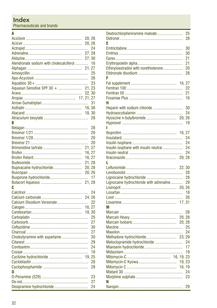<span id="page-31-0"></span>Pharmaceuticals and brands

#### $\overline{A}$

|                                         | 20, 26 |    |
|-----------------------------------------|--------|----|
|                                         | 20, 26 |    |
|                                         |        | 24 |
|                                         | 27.28  |    |
|                                         | 27, 30 |    |
| Alendronate sodium with cholecalciferol |        | 16 |
|                                         | 21, 27 |    |
|                                         |        | 25 |
|                                         |        | 26 |
|                                         |        | 23 |
|                                         |        |    |
|                                         | 22, 30 |    |
|                                         |        |    |
|                                         |        |    |
|                                         |        | 31 |
|                                         |        |    |
|                                         |        |    |
|                                         |        | 28 |
| B                                       |        |    |
|                                         |        | 28 |
|                                         |        | 20 |
|                                         |        | 20 |
|                                         |        | 20 |
|                                         | 21, 27 |    |
|                                         | 16, 27 |    |
|                                         | 16, 27 |    |
|                                         | 21, 28 |    |
|                                         |        |    |
| Bupivacaine hydrochloride               | 20, 28 |    |
|                                         | 20, 26 |    |
|                                         |        | 17 |
|                                         | 21, 28 |    |
| C                                       |        |    |
|                                         |        | 24 |
|                                         | 24, 26 |    |
| Calcium Disodium Versenate              |        | 22 |
|                                         | 16, 27 |    |
|                                         | 18, 30 |    |
|                                         |        | 25 |
|                                         |        | 27 |
|                                         |        | 30 |
|                                         |        | 27 |
| Cholestyramine with aspartame           |        | 20 |
|                                         |        |    |
|                                         |        | 29 |
|                                         |        | 24 |
|                                         |        | 18 |
| Cyclizine hydrochloride  19, 25         |        |    |
|                                         |        | 28 |
|                                         |        | 28 |
| D                                       |        |    |
|                                         |        | 23 |
|                                         |        | 27 |
|                                         |        | 24 |
|                                         |        |    |

| Dextrochlorpheniramine maleate           |        | 25 |
|------------------------------------------|--------|----|
| E                                        |        | 28 |
|                                          |        |    |
|                                          |        | 30 |
|                                          |        | 30 |
|                                          |        | 21 |
|                                          |        | 21 |
| Ethinyloestradiol with norethisterone    |        | 20 |
|                                          |        | 28 |
| F                                        |        |    |
|                                          |        |    |
|                                          |        | 22 |
|                                          |        | 21 |
|                                          |        | 16 |
| н                                        |        |    |
| Heparin with sodium chloride             |        | 30 |
|                                          |        | 24 |
|                                          |        |    |
|                                          |        | 19 |
| ı                                        |        |    |
|                                          |        |    |
|                                          |        | 24 |
|                                          |        | 24 |
| Insulin isophane with insulin neutral    |        | 24 |
|                                          |        | 24 |
|                                          |        |    |
| L                                        |        |    |
|                                          |        |    |
|                                          |        | 28 |
|                                          |        | 28 |
| Lignocaine hydrochloride with adrenaline |        | 29 |
|                                          |        |    |
|                                          |        | 18 |
|                                          |        | 26 |
|                                          |        |    |
| М                                        |        |    |
|                                          |        | 28 |
|                                          |        |    |
|                                          |        |    |
|                                          |        | 25 |
|                                          |        | 24 |
| Methadone hydrochloride 23, 29           |        |    |
| Metoclopramide hydrochloride             |        | 24 |
|                                          |        | 17 |
|                                          |        | 19 |
|                                          |        |    |
|                                          |        |    |
|                                          | 19, 23 |    |
|                                          |        |    |
|                                          |        | 24 |
|                                          |        | 23 |
| N                                        |        |    |
|                                          |        | 29 |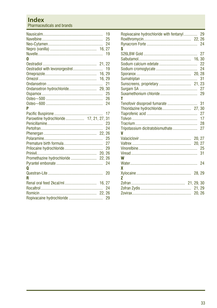### **Index**

Pharmaceuticals and brands

| n                                    | 19<br>25<br>24<br>19 |
|--------------------------------------|----------------------|
|                                      |                      |
|                                      |                      |
|                                      |                      |
|                                      |                      |
|                                      | 21                   |
|                                      |                      |
|                                      | 25                   |
|                                      | 26                   |
|                                      | 24                   |
| P                                    |                      |
|                                      | 17                   |
| Paroxetine hydrochloride 17, 21, 27, | 31                   |
|                                      | 23                   |
|                                      | 24                   |
|                                      |                      |
|                                      | 25                   |
|                                      | 27                   |
|                                      | 29                   |
|                                      |                      |
| Promethazine hydrochloride  22, 26   |                      |
|                                      | 24                   |
| 0                                    |                      |
|                                      | 20                   |
| R                                    |                      |
|                                      |                      |
|                                      |                      |
|                                      |                      |
|                                      |                      |
|                                      |                      |

| Ropivacaine hydrochloride with fentanyl 29 |        |    |
|--------------------------------------------|--------|----|
|                                            |        |    |
| S                                          |        |    |
|                                            |        | 27 |
|                                            |        |    |
|                                            |        | 22 |
|                                            |        | 24 |
|                                            |        |    |
|                                            |        | 31 |
|                                            |        |    |
|                                            |        |    |
|                                            |        | 29 |
| т                                          |        |    |
|                                            |        | 31 |
|                                            |        |    |
|                                            |        | 27 |
|                                            |        | 17 |
|                                            |        | 28 |
|                                            |        | 27 |
| V                                          |        |    |
|                                            |        |    |
|                                            |        |    |
|                                            |        |    |
|                                            |        | 31 |
| W                                          |        |    |
|                                            |        | 24 |
| X                                          |        |    |
|                                            |        |    |
| 7                                          |        |    |
|                                            |        |    |
|                                            | 21, 29 |    |
|                                            |        |    |
|                                            |        |    |